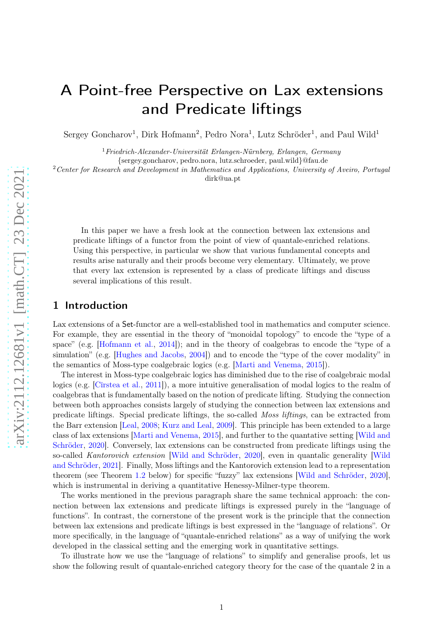# A Point-free Perspective on Lax extensions and Predicate liftings

Sergey Goncharov<sup>1</sup>, Dirk Hofmann<sup>2</sup>, Pedro Nora<sup>1</sup>, Lutz Schröder<sup>1</sup>, and Paul Wild<sup>1</sup>

 $1$ Friedrich-Alexander-Universität Erlangen-Nürnberg, Erlangen, Germany

{sergey.goncharov, pedro.nora, lutz.schroeder, paul.wild}@fau.de

<sup>2</sup> Center for Research and Development in Mathematics and Applications, University of Aveiro, Portugal

dirk@ua.pt

In this paper we have a fresh look at the connection between lax extensions and predicate liftings of a functor from the point of view of quantale-enriched relations. Using this perspective, in particular we show that various fundamental concepts and results arise naturally and their proofs become very elementary. Ultimately, we prove that every lax extension is represented by a class of predicate liftings and discuss several implications of this result.

## 1 Introduction

Lax extensions of a Set-functor are a well-established tool in mathematics and computer science. For example, they are essential in the theory of "monoidal topology" to encode the "type of a space" (e.g. [\[Hofmann et al.,](#page-23-0) [2014](#page-23-0)]); and in the theory of coalgebras to encode the "type of a simulation" (e.g. [\[Hughes and Jacobs](#page-23-1), [2004\]](#page-23-1)) and to encode the "type of the cover modality" in the semantics of Moss-type coalgebraic logics (e.g. [\[Marti and Venema,](#page-24-0) [2015\]](#page-24-0)).

The interest in Moss-type coalgebraic logics has diminished due to the rise of coalgebraic modal logics (e.g. [\[Cîrstea et al.,](#page-23-2) [2011](#page-23-2)]), a more intuitive generalisation of modal logics to the realm of coalgebras that is fundamentally based on the notion of predicate lifting. Studying the connection between both approaches consists largely of studying the connection between lax extensions and predicate liftings. Special predicate liftings, the so-called Moss liftings, can be extracted from the Barr extension [\[Leal,](#page-24-1) [2008;](#page-24-1) [Kurz and Leal,](#page-23-3) [2009](#page-23-3)]. This principle has been extended to a large class of lax extensions [\[Marti and Venema](#page-24-0), [2015](#page-24-0)[\], and further to the quantative setting \[](#page-24-2)Wild and Schröder, [2020](#page-24-2)]. Conversely, lax extensions can be constructed from predicate liftings using the so-called Kantorovich extension [\[Wild and Schröder,](#page-24-2) [2020](#page-24-2)[\], even in quantalic generality \[](#page-24-3)Wild and Schröder, [2021](#page-24-3)]. Finally, Moss liftings and the Kantorovich extension lead to a representation theorem (see Theorem [1.2](#page-1-0) below) for specific "fuzzy" lax extensions [\[Wild and Schröder](#page-24-2), [2020](#page-24-2)], which is instrumental in deriving a quantitative Henessy-Milner-type theorem.

The works mentioned in the previous paragraph share the same technical approach: the connection between lax extensions and predicate liftings is expressed purely in the "language of functions". In contrast, the cornerstone of the present work is the principle that the connection between lax extensions and predicate liftings is best expressed in the "language of relations". Or more specifically, in the language of "quantale-enriched relations" as a way of unifying the work developed in the classical setting and the emerging work in quantitative settings.

To illustrate how we use the "language of relations" to simplify and generalise proofs, let us show the following result of quantale-enriched category theory for the case of the quantale 2 in a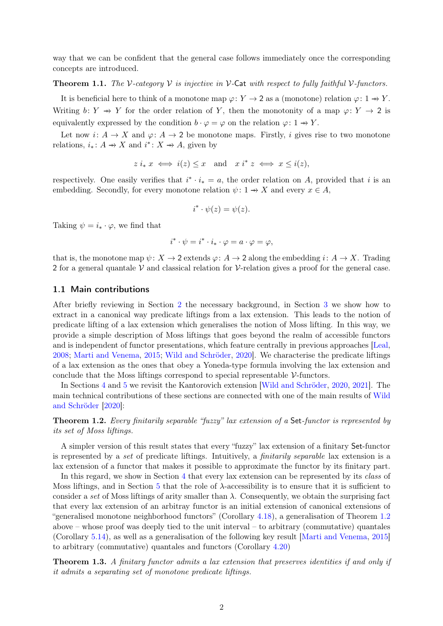way that we can be confident that the general case follows immediately once the corresponding concepts are introduced.

#### **Theorem 1.1.** The V-category V is injective in V-Cat with respect to fully faithful V-functors.

It is beneficial here to think of a monotone map  $\varphi: Y \to 2$  as a (monotone) relation  $\varphi: 1 \to Y$ . Writing  $b: Y \to Y$  for the order relation of Y, then the monotonity of a map  $\varphi: Y \to 2$  is equivalently expressed by the condition  $b \cdot \varphi = \varphi$  on the relation  $\varphi: 1 \to Y$ .

Let now  $i: A \to X$  and  $\varphi: A \to 2$  be monotone maps. Firstly, i gives rise to two monotone relations,  $i_*: A \rightarrow X$  and  $i^*: X \rightarrow A$ , given by

$$
z i_* x \iff i(z) \leq x
$$
 and  $x i^* z \iff x \leq i(z)$ ,

respectively. One easily verifies that  $i^* \cdot i_* = a$ , the order relation on A, provided that i is an embedding. Secondly, for every monotone relation  $\psi: 1 \to X$  and every  $x \in A$ ,

$$
i^* \cdot \psi(z) = \psi(z).
$$

Taking  $\psi = i_* \cdot \varphi$ , we find that

$$
i^* \cdot \psi = i^* \cdot i_* \cdot \varphi = a \cdot \varphi = \varphi,
$$

that is, the monotone map  $\psi: X \to 2$  extends  $\varphi: A \to 2$  along the embedding  $i: A \to X$ . Trading 2 for a general quantale  $\mathcal V$  and classical relation for  $\mathcal V$ -relation gives a proof for the general case.

#### 1.1 Main contributions

After briefly reviewing in Section [2](#page-2-0) the necessary background, in Section [3](#page-10-0) we show how to extract in a canonical way predicate liftings from a lax extension. This leads to the notion of predicate lifting of a lax extension which generalises the notion of Moss lifting. In this way, we provide a simple description of Moss liftings that goes beyond the realm of accessible functors and is independent of functor presentations, which feature centrally in previous approaches [\[Leal](#page-24-1), [2008;](#page-24-1) [Marti and Venema](#page-24-0), [2015](#page-24-0); [Wild and Schröder](#page-24-2), [2020](#page-24-2)]. We characterise the predicate liftings of a lax extension as the ones that obey a Yoneda-type formula involving the lax extension and conclude that the Moss liftings correspond to special representable V-functors.

In Sections [4](#page-14-0) and [5](#page-20-0) we revisit the Kantorovich extension [\[Wild and Schröder](#page-24-2), [2020](#page-24-2), [2021](#page-24-3)]. The main technic[al contributions of these sections are connected with one of the main results of](#page-24-2) Wild and Schröder [\[2020](#page-24-2)]:

<span id="page-1-0"></span>Theorem 1.2. Every finitarily separable "fuzzy" lax extension of a Set-functor is represented by its set of Moss liftings.

A simpler version of this result states that every "fuzzy" lax extension of a finitary Set-functor is represented by a set of predicate liftings. Intuitively, a finitarily separable lax extension is a lax extension of a functor that makes it possible to approximate the functor by its finitary part.

In this regard, we show in Section [4](#page-14-0) that every lax extension can be represented by its class of Moss liftings, and in Section [5](#page-20-0) that the role of  $\lambda$ -accessibility is to ensure that it is sufficient to consider a set of Moss liftings of arity smaller than  $\lambda$ . Consequently, we obtain the surprising fact that every lax extension of an arbitray functor is an initial extension of canonical extensions of "generalised monotone neighborhood functors" (Corollary [4.18\)](#page-20-1), a generalisation of Theorem [1.2](#page-1-0) above – whose proof was deeply tied to the unit interval – to arbitrary (commutative) quantales (Corollary [5.14\)](#page-22-0), as well as a generalisation of the following key result [\[Marti and Venema](#page-24-0), [2015](#page-24-0)] to arbitrary (commutative) quantales and functors (Corollary [4.20\)](#page-20-2)

<span id="page-1-1"></span>Theorem 1.3. A finitary functor admits a lax extension that preserves identities if and only if it admits a separating set of monotone predicate liftings.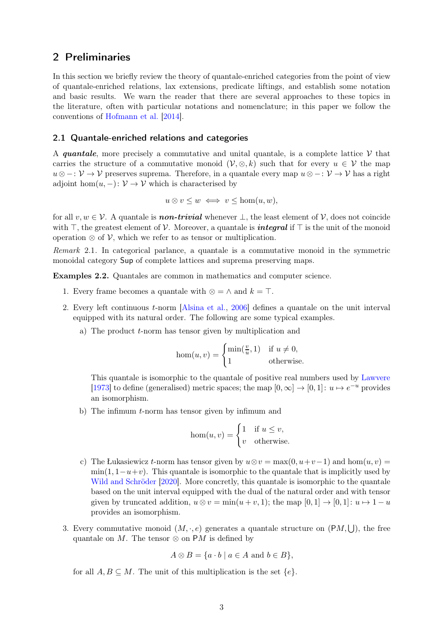# <span id="page-2-0"></span>2 Preliminaries

In this section we briefly review the theory of quantale-enriched categories from the point of view of quantale-enriched relations, lax extensions, predicate liftings, and establish some notation and basic results. We warn the reader that there are several approaches to these topics in the literature, often with particular notations and nomenclature; in this paper we follow the conventions of [Hofmann et al.](#page-23-0) [\[2014](#page-23-0)].

### 2.1 Quantale-enriched relations and categories

A quantale, more precisely a commutative and unital quantale, is a complete lattice  $\mathcal V$  that carries the structure of a commutative monoid  $(\mathcal{V}, \otimes, k)$  such that for every  $u \in \mathcal{V}$  the map  $u \otimes -: \mathcal{V} \to \mathcal{V}$  preserves suprema. Therefore, in a quantale every map  $u \otimes -: \mathcal{V} \to \mathcal{V}$  has a right adjoint hom $(u, -): \mathcal{V} \to \mathcal{V}$  which is characterised by

$$
u \otimes v \leq w \iff v \leq \hom(u, w),
$$

for all  $v, w \in V$ . A quantale is **non-trivial** whenever  $\perp$ , the least element of  $V$ , does not coincide with ⊤, the greatest element of V. Moreover, a quantale is *integral* if ⊤ is the unit of the monoid operation  $\otimes$  of V, which we refer to as tensor or multiplication.

Remark 2.1. In categorical parlance, a quantale is a commutative monoid in the symmetric monoidal category Sup of complete lattices and suprema preserving maps.

<span id="page-2-1"></span>Examples 2.2. Quantales are common in mathematics and computer science.

- 1. Every frame becomes a quantale with ⊗ =  $\wedge$  and  $k = \top$ .
- 2. Every left continuous t-norm [\[Alsina et al.](#page-23-4), [2006](#page-23-4)] defines a quantale on the unit interval equipped with its natural order. The following are some typical examples.
	- a) The product t-norm has tensor given by multiplication and

$$
\hom(u,v) = \begin{cases} \min(\frac{v}{u},1) & \text{if } u \neq 0, \\ 1 & \text{otherwise.} \end{cases}
$$

This quantale is isomorphic to the quantale of positive real numbers used by [Lawvere](#page-24-4) [\[1973\]](#page-24-4) to define (generalised) metric spaces; the map  $[0, \infty] \to [0, 1]: u \mapsto e^{-u}$  provides an isomorphism.

b) The infimum t-norm has tensor given by infimum and

$$
hom(u, v) = \begin{cases} 1 & \text{if } u \le v, \\ v & \text{otherwise.} \end{cases}
$$

- <span id="page-2-2"></span>c) The Łukasiewicz t-norm has tensor given by  $u \otimes v = \max(0, u+v-1)$  and  $\hom(u, v) =$  $\min(1, 1-u+v)$ . This quantale is isomorphic to the quantale that is implicitly used by [Wild and Schröder](#page-24-2) [\[2020\]](#page-24-2). More concretly, this quantale is isomorphic to the quantale based on the unit interval equipped with the dual of the natural order and with tensor given by truncated addition,  $u \otimes v = \min(u + v, 1)$ ; the map  $[0, 1] \rightarrow [0, 1]: u \mapsto 1 - u$ provides an isomorphism.
- 3. Every commutative monoid  $(M, \cdot, e)$  generates a quantale structure on  $(PM, \bigcup)$ , the free quantale on M. The tensor  $\otimes$  on PM is defined by

$$
A \otimes B = \{a \cdot b \mid a \in A \text{ and } b \in B\},\
$$

for all  $A, B \subseteq M$ . The unit of this multiplication is the set  $\{e\}$ .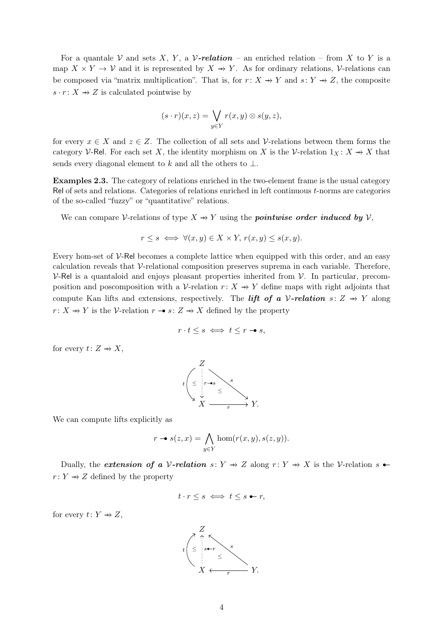For a quantale V and sets X, Y, a V-relation – an enriched relation – from X to Y is a map  $X \times Y \to V$  and it is represented by  $X \to Y$ . As for ordinary relations, V-relations can be composed via "matrix multiplication". That is, for  $r: X \rightarrow Y$  and  $s: Y \rightarrow Z$ , the composite  $s \cdot r : X \rightarrow Z$  is calculated pointwise by

$$
(s \cdot r)(x, z) = \bigvee_{y \in Y} r(x, y) \otimes s(y, z),
$$

for every  $x \in X$  and  $z \in Z$ . The collection of all sets and V-relations between them forms the category V-Rel. For each set X, the identity morphism on X is the V-relation  $1_X : X \rightarrow X$  that sends every diagonal element to k and all the others to  $\bot$ .

Examples 2.3. The category of relations enriched in the two-element frame is the usual category Rel of sets and relations. Categories of relations enriched in left continuous t-norms are categories of the so-called "fuzzy" or "quantitative" relations.

We can compare V-relations of type  $X \to Y$  using the **pointwise order induced by** V,

$$
r \le s \iff \forall (x, y) \in X \times Y, r(x, y) \le s(x, y).
$$

Every hom-set of  $V$ -Rel becomes a complete lattice when equipped with this order, and an easy calculation reveals that  $\mathcal V$ -relational composition preserves suprema in each variable. Therefore,  $V$ -Rel is a quantaloid and enjoys pleasant properties inherited from  $V$ . In particular, precomposition and poscomposition with a V-relation  $r: X \rightarrow Y$  define maps with right adjoints that compute Kan lifts and extensions, respectively. The *lift of a V-relation*  $s: Z \rightarrow Y$  along  $r: X \rightarrow Y$  is the V-relation  $r \rightarrow s: Z \rightarrow X$  defined by the property

$$
r \cdot t \leq s \iff t \leq r \to s,
$$

for every  $t: Z \rightarrow X$ ,



We can compute lifts explicitly as

$$
r \to s(z, x) = \bigwedge_{y \in Y} \hom(r(x, y), s(z, y)).
$$

Dually, the *extension of a V-relation*  $s: Y \rightarrow Z$  along  $r: Y \rightarrow X$  is the V-relation  $s \rightarrow z$  $r: Y \rightarrow Z$  defined by the property

$$
t \cdot r \leq s \iff t \leq s - r,
$$

for every  $t: Y \rightarrow Z$ ,

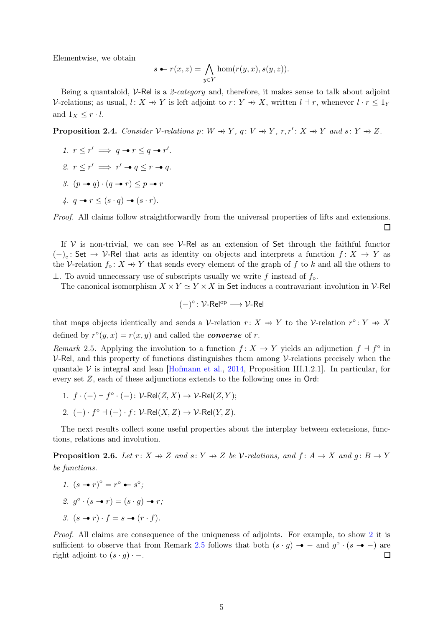Elementwise, we obtain

$$
s \leftarrow r(x, z) = \bigwedge_{y \in Y} \text{hom}(r(y, x), s(y, z)).
$$

Being a quantaloid,  $V$ -Rel is a 2-category and, therefore, it makes sense to talk about adjoint V-relations; as usual,  $l: X \to Y$  is left adjoint to  $r: Y \to X$ , written  $l \dashv r$ , whenever  $l \cdot r \leq 1_Y$ and  $1_X \leq r \cdot l$ .

<span id="page-4-2"></span>**Proposition 2.4.** Consider V-relations  $p: W \to Y$ ,  $q: V \to Y$ ,  $r, r': X \to Y$  and  $s: Y \to Z$ .

<span id="page-4-7"></span><span id="page-4-3"></span>1.  $r \leq r' \implies q \rightarrow r \leq q \rightarrow r'.$ 2.  $r \leq r' \implies r' \rightarrow q \leq r \rightarrow q$ . 3.  $(p \rightarrow q) \cdot (q \rightarrow r) \leq p \rightarrow r$  $\lambda$ ,  $q \rightarrow r \leq (s \cdot q) \rightarrow (s \cdot r)$ .

<span id="page-4-5"></span>Proof. All claims follow straightforwardly from the universal properties of lifts and extensions. 口

If  $V$  is non-trivial, we can see  $V$ -Rel as an extension of Set through the faithful functor  $(-)_\circ$ : Set → V-Rel that acts as identity on objects and interprets a function  $f: X \to Y$  as the V-relation  $f_{\circ}: X \rightarrow Y$  that sends every element of the graph of f to k and all the others to ⊥. To avoid unnecessary use of subscripts usually we write f instead of  $f_{\circ}$ .

The canonical isomorphism  $X \times Y \simeq Y \times X$  in Set induces a contravariant involution in V-Rel

$$
(-)^{\circ} \colon \mathcal{V}\text{-}\mathsf{Rel}^{\mathrm{op}} \longrightarrow \mathcal{V}\text{-}\mathsf{Rel}
$$

that maps objects identically and sends a V-relation  $r: X \rightarrow Y$  to the V-relation  $r^{\circ}: Y \rightarrow X$ defined by  $r^{\circ}(y, x) = r(x, y)$  and called the **converse** of r.

<span id="page-4-1"></span>Remark 2.5. Applying the involution to a function  $f: X \to Y$  yields an adjunction  $f \dashv f^{\circ}$  in  $V$ -Rel, and this property of functions distinguishes them among V-relations precisely when the quantale V is integral and lean [\[Hofmann et al.,](#page-23-0) [2014](#page-23-0), Proposition III.1.2.1]. In particular, for every set Z, each of these adjunctions extends to the following ones in Ord:

- 1.  $f \cdot (-) \dashv f^{\circ} \cdot (-) \colon V\text{-Rel}(Z, X) \to V\text{-Rel}(Z, Y);$
- 2.  $(-) \cdot f^{\circ} \dashv (-) \cdot f$ :  $\mathcal{V}\text{-Rel}(X, Z) \to \mathcal{V}\text{-Rel}(Y, Z)$ .

The next results collect some useful properties about the interplay between extensions, functions, relations and involution.

<span id="page-4-6"></span>**Proposition 2.6.** Let  $r: X \rightarrow Z$  and  $s: Y \rightarrow Z$  be V-relations, and  $f: A \rightarrow X$  and  $g: B \rightarrow Y$ be functions.

- <span id="page-4-4"></span><span id="page-4-0"></span>1.  $(s - r)^{\circ} = r^{\circ} - s^{\circ};$
- 2.  $g^{\circ} \cdot (s r) = (s \cdot g) r;$
- 3.  $(s \rightarrow r) \cdot f = s \rightarrow (r \cdot f)$ .

Proof. All claims are consequence of the uniqueness of adjoints. For example, to show [2](#page-4-0) it is sufficient to observe that from Remark [2.5](#page-4-1) follows that both  $(s \cdot g) \rightarrow -$  and  $g^{\circ} \cdot (s \rightarrow -)$  are right adjoint to  $(s \cdot g) \cdot -$ .  $\Box$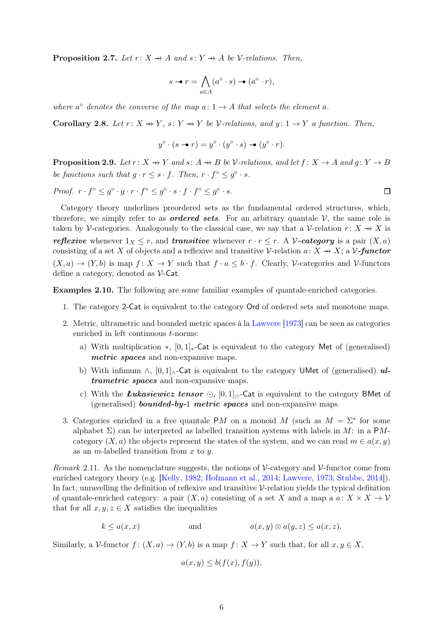<span id="page-5-1"></span>**Proposition 2.7.** Let  $r: X \rightarrow A$  and  $s: Y \rightarrow A$  be V-relations. Then,

$$
s \to r = \bigwedge_{a \in A} (a^\circ \cdot s) \to (a^\circ \cdot r),
$$

where  $a^{\circ}$  denotes the converse of the map  $a: 1 \rightarrow A$  that selects the element a.

Corollary 2.8. Let  $r: X \to Y$ ,  $s: Y \to Y$  be V-relations, and  $y: 1 \to Y$  a function. Then,

$$
y^{\circ} \cdot (s - r) = y^{\circ} \cdot (y^{\circ} \cdot s) - (y^{\circ} \cdot r).
$$

<span id="page-5-0"></span>**Proposition 2.9.** Let  $r: X \rightarrow Y$  and  $s: A \rightarrow B$  be V-relations, and let  $f: X \rightarrow A$  and  $q: Y \rightarrow B$ be functions such that  $g \cdot r \leq s \cdot f$ . Then,  $r \cdot f^{\circ} \leq g^{\circ} \cdot s$ .

Proof.  $r \cdot f^{\circ} \leq g^{\circ} \cdot g \cdot r \cdot f^{\circ} \leq g^{\circ} \cdot s \cdot f \cdot f^{\circ} \leq g^{\circ} \cdot s.$ 

Category theory underlines preordered sets as the fundamental ordered structures, which, therefore, we simply refer to as *ordered sets*. For an arbitrary quantale  $V$ , the same role is taken by V-categories. Analogously to the classical case, we say that a V-relation  $r: X \rightarrow X$  is reflexive whenever  $1_X \leq r$ , and transitive whenever  $r \cdot r \leq r$ . A V-category is a pair  $(X, a)$ consisting of a set X of objects and a reflexive and transitive V-relation  $a: X \rightarrow X$ ; a V-functor  $(X, a) \to (Y, b)$  is map  $f: X \to Y$  such that  $f \cdot a \leq b \cdot f$ . Clearly, V-categories and V-functors define a category, denoted as  $\mathcal{V}\text{-}\mathsf{Cat}$ .

Examples 2.10. The following are some familiar examples of quantale-enriched categories.

- 1. The category 2-Cat is equivalent to the category Ord of ordered sets and monotone maps.
- 2. Metric, ultrametric and bounded metric spaces à la [Lawvere](#page-24-4) [\[1973\]](#page-24-4) can be seen as categories enriched in left continuous t-norms:
	- a) With multiplication  $\ast$ ,  $[0, 1]_{\ast}$ -Cat is equivalent to the category Met of (generalised) metric spaces and non-expansive maps.
	- b) With infimum  $\wedge$ ,  $[0,1]_{\wedge}$ -Cat is equivalent to the category UMet of (generalised) ultrametric spaces and non-expansive maps.
	- c) With the *Łukasiewicz tensor* ⊙,  $[0, 1]_0$ -Cat is equivalent to the category BMet of (generalised) **bounded-by-1 metric spaces** and non-expansive maps.
- 3. Categories enriched in a free quantale PM on a monoid M (such as  $M = \Sigma^*$  for some alphabet  $\Sigma$ ) can be interpreted as labelled transition systems with labels in M: in a PMcategory  $(X, a)$  the objects represent the states of the system, and we can read  $m \in a(x, y)$ as an *m*-labelled transition from  $x$  to  $y$ .

Remark 2.11. As the nomenclature suggests, the notions of  $\mathcal V$ -category and  $\mathcal V$ -functor come from enriched category theory (e.g. [\[Kelly,](#page-23-5) [1982;](#page-23-5) [Hofmann et al.,](#page-23-0) [2014;](#page-23-0) [Lawvere,](#page-24-4) [1973;](#page-24-4) [Stubbe](#page-24-5), [2014](#page-24-5)]). In fact, unravelling the definition of reflexive and transitive  $\mathcal V$ -relation yields the typical definition of quantale-enriched category: a pair  $(X, a)$  consisting of a set X and a map a  $a: X \times X \to V$ that for all  $x, y, z \in X$  satisfies the inequalities

$$
k \le a(x, x) \qquad \text{and} \qquad a(x, y) \otimes a(y, z) \le a(x, z).
$$

Similarly, a V-functor  $f: (X, a) \to (Y, b)$  is a map  $f: X \to Y$  such that, for all  $x, y \in X$ ,

$$
a(x, y) \le b(f(x), f(y)).
$$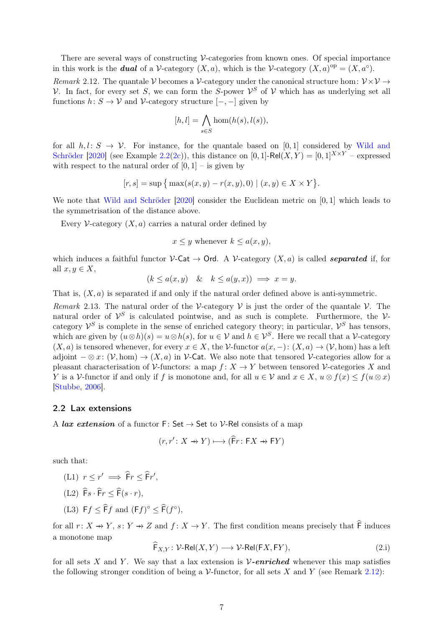There are several ways of constructing  $\mathcal V$ -categories from known ones. Of special importance in this work is the **dual** of a V-category  $(X, a)$ , which is the V-category  $(X, a)$ <sup>op</sup> =  $(X, a^{\circ})$ .

<span id="page-6-0"></span>Remark 2.12. The quantale V becomes a V-category under the canonical structure hom:  $V \times V \rightarrow$ V. In fact, for every set S, we can form the S-power  $\mathcal{V}^S$  of V which has as underlying set all functions  $h: S \to V$  and V-category structure  $[-, -]$  given by

$$
[h,l] = \bigwedge_{s \in S} \hom(h(s), l(s)),
$$

for all  $h, l: S \rightarrow V$ [. For instance, for the quantale based on](#page-24-2) [0, 1] considered by Wild and Schröder [\[2020\]](#page-24-2) (see Example [2.2](#page-2-1)[\(2c\)](#page-2-2)), this distance on [0, 1]-Rel(X, Y) = [0, 1]<sup>X \xY</sup> – expressed with respect to the natural order of  $[0, 1]$  – is given by

$$
[r, s] = \sup \{ \max(s(x, y) - r(x, y), 0) \mid (x, y) \in X \times Y \}.
$$

We note that [Wild and Schröder](#page-24-2) [\[2020](#page-24-2)] consider the Euclidean metric on [0, 1] which leads to the symmetrisation of the distance above.

Every V-category  $(X, a)$  carries a natural order defined by

 $x \leq y$  whenever  $k \leq a(x, y)$ ,

which induces a faithful functor  $\mathcal{V}\text{-}\mathsf{Cat} \to \mathsf{Ord}$ . A  $\mathcal{V}\text{-}\mathrm{category}(X,a)$  is called *separated* if, for all  $x, y \in X$ ,

$$
(k \le a(x, y) \quad & k \le a(y, x)) \implies x = y.
$$

That is,  $(X, a)$  is separated if and only if the natural order defined above is anti-symmetric.

<span id="page-6-2"></span>Remark 2.13. The natural order of the V-category V is just the order of the quantale V. The natural order of  $\mathcal{V}^S$  is calculated pointwise, and as such is complete. Furthermore, the  $\mathcal{V}$ category  $\mathcal{V}^S$  is complete in the sense of enriched category theory; in particular,  $\mathcal{V}^S$  has tensors, which are given by  $(u \otimes h)(s) = u \otimes h(s)$ , for  $u \in V$  and  $h \in V^S$ . Here we recall that a V-category  $(X, a)$  is tensored whenever, for every  $x \in X$ , the V-functor  $a(x, -) : (X, a) \to (V, \text{hom})$  has a left adjoint  $-\otimes x: (\mathcal{V}, \text{hom}) \to (X, a)$  in V-Cat. We also note that tensored V-categories allow for a pleasant characterisation of  $\mathcal V$ -functors: a map  $f: X \to Y$  between tensored  $\mathcal V$ -categories X and Y is a V-functor if and only if f is monotone and, for all  $u \in V$  and  $x \in X$ ,  $u \otimes f(x) \le f(u \otimes x)$ [\[Stubbe](#page-24-6), [2006\]](#page-24-6).

#### 2.2 Lax extensions

A *lax extension* of a functor  $F: Set \to Set$  to  $V$ -Rel consists of a map

$$
(r, r' \colon X \to Y) \longmapsto (\mathsf{F}r \colon \mathsf{F}X \to \mathsf{F}Y)
$$

such that:

- <span id="page-6-1"></span>(L1)  $r \leq r' \implies \widehat{F}r \leq \widehat{F}r'$ ,
- <span id="page-6-4"></span> $(L2) \widehat{\mathsf{F}}s \cdot \widehat{\mathsf{F}}r < \widehat{\mathsf{F}}(s \cdot r),$
- <span id="page-6-5"></span>(L3)  $\mathsf{F} f \leq \widehat{\mathsf{F}} f$  and  $(\mathsf{F} f)^\circ \leq \widehat{\mathsf{F}}(f^\circ),$

for all  $r: X \to Y$ ,  $s: Y \to Z$  and  $f: X \to Y$ . The first condition means precisely that  $\widehat{F}$  induces a monotone map

<span id="page-6-3"></span>
$$
F_{X,Y}: \mathcal{V}\text{-Rel}(X,Y) \longrightarrow \mathcal{V}\text{-Rel}(FX,FY),\tag{2.1}
$$

for all sets X and Y. We say that a lax extension is  $\mathcal{V}\text{-enriched}$  whenever this map satisfies the following stronger condition of being a  $\mathcal V$ -functor, for all sets X and Y (see Remark [2.12\)](#page-6-0):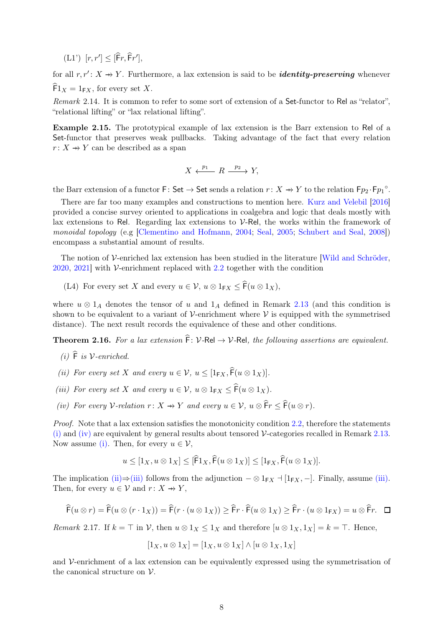<span id="page-7-6"></span> $(L1') [r, r'] \leq [\widehat{F}r, \widehat{F}r'],$ 

for all  $r, r' : X \rightarrow Y$ . Furthermore, a lax extension is said to be *identity-preserving* whenever  $\widehat{F}1_X = 1_{\text{F}X}$ , for every set X.

Remark 2.14. It is common to refer to some sort of extension of a Set-functor to Rel as "relator", "relational lifting" or "lax relational lifting".

Example 2.15. The prototypical example of lax extension is the Barr extension to Rel of a Set-functor that preserves weak pullbacks. Taking advantage of the fact that every relation  $r: X \rightarrow Y$  can be described as a span

$$
X \xleftarrow{p_1} R \xrightarrow{p_2} Y,
$$

the Barr extension of a functor  $\mathsf{F} \colon \mathsf{Set} \to \mathsf{Set}$  sends a relation  $r \colon X \to Y$  to the relation  $\mathsf{F}p_2 \cdot \mathsf{F}p_1^{\circ}$ .

There are far too many examples and constructions to mention here. [Kurz and Velebil](#page-24-7) [\[2016](#page-24-7)] provided a concise survey oriented to applications in coalgebra and logic that deals mostly with lax extensions to Rel. Regarding lax extensions to  $\mathcal{V}$ -Rel, the works within the framework of monoidal topology (e.g [\[Clementino and Hofmann](#page-23-6), [2004](#page-23-6); [Seal,](#page-24-8) [2005;](#page-24-8) [Schubert and Seal](#page-24-9), [2008](#page-24-9)]) encompass a substantial amount of results.

The notion of  $\mathcal V$ -enriched lax extension has been studied in the literature [\[Wild and Schröder](#page-24-2),  $2020, 2021$  $2020, 2021$  with V-enrichment replaced with [2.2](#page-6-1) together with the condition

(L4) For every set X and every  $u \in \mathcal{V}$ ,  $u \otimes 1_{\mathsf{F} X} \leq \widehat{\mathsf{F}}(u \otimes 1_X)$ ,

where  $u \otimes 1_A$  denotes the tensor of u and  $1_A$  defined in Remark [2.13](#page-6-2) (and this condition is shown to be equivalent to a variant of  $\mathcal V$ -enrichment where  $\mathcal V$  is equipped with the symmetrised distance). The next result records the equivalence of these and other conditions.

<span id="page-7-4"></span><span id="page-7-0"></span>**Theorem 2.16.** For a lax extension  $\hat{F}$ : V-Rel  $\rightarrow$  V-Rel, the following assertions are equivalent.

- <span id="page-7-2"></span>(i)  $\hat{F}$  is  $\mathcal{V}\text{-enriched.}$
- <span id="page-7-3"></span>(ii) For every set X and every  $u \in V$ ,  $u \leq [1_{\mathsf{F}X}, \widehat{\mathsf{F}}(u \otimes 1_X)].$
- <span id="page-7-1"></span>(iii) For every set X and every  $u \in \mathcal{V}$ ,  $u \otimes 1_{FX} \leq \widehat{F}(u \otimes 1_X)$ .
- (iv) For every V-relation  $r: X \to Y$  and every  $u \in V$ ,  $u \otimes \widehat{F}r \leq \widehat{F}(u \otimes r)$ .

Proof. Note that a lax extension satisfies the monotonicity condition [2.2,](#page-6-1) therefore the statements [\(i\)](#page-7-0) and [\(iv\)](#page-7-1) are equivalent by general results about tensored  $\mathcal{V}\text{-categories recalled in Remark 2.13.}$  $\mathcal{V}\text{-categories recalled in Remark 2.13.}$  $\mathcal{V}\text{-categories recalled in Remark 2.13.}$ Now assume [\(i\).](#page-7-0) Then, for every  $u \in \mathcal{V}$ ,

$$
u \leq [1_X, u \otimes 1_X] \leq [\widehat{F}1_X, \widehat{F}(u \otimes 1_X)] \leq [1_{\mathsf{F}X}, \widehat{F}(u \otimes 1_X)].
$$

The implication [\(ii\)](#page-7-2)⇒[\(iii\)](#page-7-3) follows from the adjunction  $-\otimes 1_{FX}$   $\dashv [1_{FX}, -]$ . Finally, assume [\(iii\).](#page-7-3) Then, for every  $u \in \mathcal{V}$  and  $r: X \to Y$ ,

$$
\widehat{F}(u \otimes r) = \widehat{F}(u \otimes (r \cdot 1_X)) = \widehat{F}(r \cdot (u \otimes 1_X)) \ge \widehat{F}r \cdot \widehat{F}(u \otimes 1_X) \ge \widehat{F}r \cdot (u \otimes 1_{\mathsf{F}X}) = u \otimes \widehat{F}r. \quad \Box
$$

<span id="page-7-5"></span>Remark 2.17. If  $k = \top$  in V, then  $u \otimes 1_X \leq 1_X$  and therefore  $[u \otimes 1_X, 1_X] = k = \top$ . Hence,

$$
[1_X, u \otimes 1_X] = [1_X, u \otimes 1_X] \wedge [u \otimes 1_X, 1_X]
$$

and  $\mathcal V$ -enrichment of a lax extension can be equivalently expressed using the symmetrisation of the canonical structure on  $\mathcal V$ .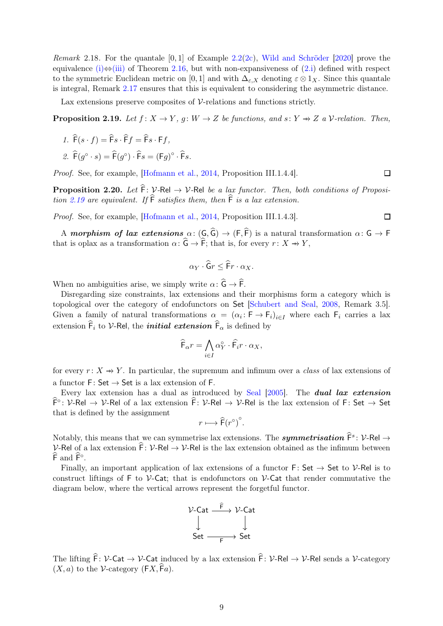*Remark* 2.18. For the quantale  $[0, 1]$  of Example [2.2](#page-2-1)[\(2c\)](#page-2-2), [Wild and Schröder](#page-24-2) [\[2020\]](#page-24-2) prove the equivalence [\(i\)](#page-7-0) $\Leftrightarrow$ [\(iii\)](#page-7-3) of Theorem [2.16,](#page-7-4) but with non-expansiveness of [\(2.i\)](#page-6-3) defined with respect to the symmetric Euclidean metric on [0,1] and with  $\Delta_{\varepsilon,X}$  denoting  $\varepsilon \otimes 1_X$ . Since this quantale is integral, Remark [2.17](#page-7-5) ensures that this is equivalent to considering the asymmetric distance.

Lax extensions preserve composites of  $\mathcal V$ -relations and functions strictly.

<span id="page-8-1"></span><span id="page-8-0"></span>**Proposition 2.19.** Let  $f: X \to Y$ ,  $g: W \to Z$  be functions, and  $s: Y \to Z$  a V-relation. Then,

- $\hat{F}(s \cdot f) = \hat{F}_s \cdot \hat{F}_s = \hat{F}_s \cdot F_f$
- 2.  $\widehat{\mathsf{F}}(g^{\circ} \cdot s) = \widehat{\mathsf{F}}(g^{\circ}) \cdot \widehat{\mathsf{F}} s = (\mathsf{F} g)^{\circ} \cdot \widehat{\mathsf{F}} s.$

Proof. See, for example, [\[Hofmann et al.](#page-23-0), [2014,](#page-23-0) Proposition III.1.4.4].

<span id="page-8-2"></span>**Proposition 2.20.** Let  $\hat{F}$ : V-Rel  $\rightarrow$  V-Rel be a lax functor. Then, both conditions of Proposi-tion [2.19](#page-8-0) are equivalent. If  $\widehat{F}$  satisfies them, then  $\widehat{F}$  is a lax extension.

 $\Box$ 

 $\Box$ 

Proof. See, for example, [\[Hofmann et al.](#page-23-0), [2014,](#page-23-0) Proposition III.1.4.3].

A morphism of lax extensions  $\alpha: (G,\widehat{G}) \to (F,\widehat{F})$  is a natural transformation  $\alpha: G \to F$ that is oplax as a transformation  $\alpha: \widehat{G} \to \widehat{F}$ ; that is, for every  $r : X \to Y$ ,

$$
\alpha_Y \cdot \widehat{\mathsf{G}}r \leq \widehat{\mathsf{F}}r \cdot \alpha_X.
$$

When no ambiguities arise, we simply write  $\alpha: \widehat{G} \to \widehat{F}$ .

Disregarding size constraints, lax extensions and their morphisms form a category which is topological over the category of endofunctors on Set [\[Schubert and Seal](#page-24-9), [2008,](#page-24-9) Remark 3.5]. Given a family of natural transformations  $\alpha = (\alpha_i : \mathsf{F} \to \mathsf{F}_i)_{i \in I}$  where each  $\mathsf{F}_i$  carries a lax extension  $\mathsf{F}_i$  to V-Rel, the *initial extension*  $\mathsf{F}_\alpha$  is defined by

$$
\widehat{\mathsf{F}}_{\alpha}r = \bigwedge_{i \in I} \alpha_Y^{\circ} \cdot \widehat{\mathsf{F}}_i r \cdot \alpha_X,
$$

for every  $r: X \rightarrow Y$ . In particular, the supremum and infimum over a class of lax extensions of a functor  $F: Set \rightarrow Set$  is a lax extension of F.

Every lax extension has a dual as introduced by [Seal](#page-24-8) [\[2005\]](#page-24-8). The dual lax extension  $\hat{F}$ °:  $V$ -Rel  $\to V$ -Rel of a lax extension  $\hat{F}$ :  $V$ -Rel  $\to V$ -Rel is the lax extension of F: Set  $\to$  Set that is defined by the assignment

$$
r \longmapsto \widehat{\mathsf{F}}(r^{\circ})^{\circ}.
$$

Notably, this means that we can symmetrise lax extensions. The *symmetrisation*  $\widehat{F}^s \colon \mathcal{V}\text{-}\mathsf{Rel} \to$ V-Rel of a lax extension  $\hat{F}: V$ -Rel  $\rightarrow V$ -Rel is the lax extension obtained as the infimum between  $\widehat{F}$  and  $\widehat{F}^\circ$ .

Finally, an important application of lax extensions of a functor F: Set  $\rightarrow$  Set to V-Rel is to construct liftings of F to  $\mathcal V$ -Cat; that is endofunctors on  $\mathcal V$ -Cat that render commutative the diagram below, where the vertical arrows represent the forgetful functor.



The lifting  $\hat{F}$ : V-Cat  $\rightarrow$  V-Cat induced by a lax extension  $\hat{F}$ : V-Rel  $\rightarrow$  V-Rel sends a V-category  $(X, a)$  to the V-category  $(FX, \widehat{F}a)$ .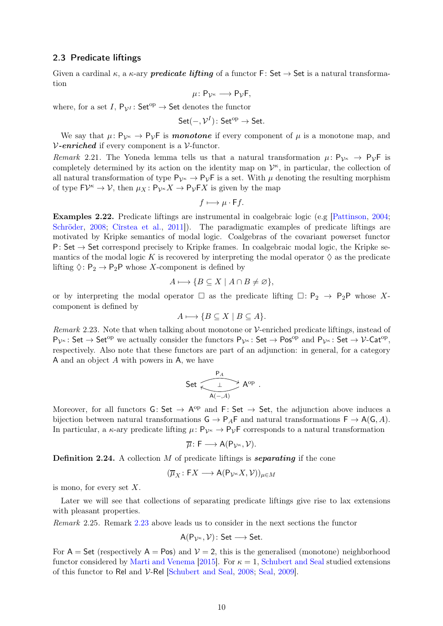#### 2.3 Predicate liftings

Given a cardinal  $\kappa$ , a  $\kappa$ -ary **predicate lifting** of a functor F: Set  $\rightarrow$  Set is a natural transformation

$$
\mu\colon \mathsf{P}_{\mathcal{V}^{\kappa}}\longrightarrow \mathsf{P}_{\mathcal{V}}\mathsf{F},
$$

where, for a set I,  $P_{\mathcal{V}^I}$ : Set<sup>op</sup>  $\rightarrow$  Set denotes the functor

Set
$$
(-, \mathcal{V}^I)
$$
: Set<sup>op</sup>  $\rightarrow$  Set.

We say that  $\mu: P_{\mathcal{V}^k} \to P_{\mathcal{V}}F$  is *monotone* if every component of  $\mu$  is a monotone map, and  $V$ -enriched if every component is a  $V$ -functor.

Remark 2.21. The Yoneda lemma tells us that a natural transformation  $\mu: \mathsf{P}_{\mathcal{V}^{\kappa}} \to \mathsf{P}_{\mathcal{V}}\mathsf{F}$  is completely determined by its action on the identity map on  $\mathcal{V}^{\kappa}$ , in particular, the collection of all natural transformation of type  $P_{\mathcal{V}^{\kappa}} \to P_{\mathcal{V}}F$  is a set. With  $\mu$  denoting the resulting morphism of type  $\mathsf{F} \mathcal{V}^{\kappa} \to \mathcal{V}$ , then  $\mu_X \colon \mathsf{P}_{\mathcal{V}^{\kappa}} X \to \mathsf{P}_{\mathcal{V}} \mathsf{F} X$  is given by the map

$$
f \longmapsto \mu \cdot \mathsf{F} f.
$$

Examples 2.22. Predicate liftings are instrumental in coalgebraic logic (e.g [\[Pattinson](#page-24-10), [2004](#page-24-10); [Schröder,](#page-24-11) [2008](#page-24-11); [Cîrstea et al.,](#page-23-2) [2011\]](#page-23-2)). The paradigmatic examples of predicate liftings are motivated by Kripke semantics of modal logic. Coalgebras of the covariant powerset functor P: Set  $\rightarrow$  Set correspond precisely to Kripke frames. In coalgebraic modal logic, the Kripke semantics of the modal logic K is recovered by interpreting the modal operator  $\Diamond$  as the predicate lifting  $\Diamond: \mathsf{P}_2 \to \mathsf{P}_2\mathsf{P}$  whose X-component is defined by

$$
A \longmapsto \{ B \subseteq X \mid A \cap B \neq \varnothing \},
$$

or by interpreting the modal operator  $\Box$  as the predicate lifting  $\Box: \mathsf{P}_2 \to \mathsf{P}_2\mathsf{P}$  whose Xcomponent is defined by

$$
A \longmapsto \{ B \subseteq X \mid B \subseteq A \}.
$$

<span id="page-9-0"></span>Remark 2.23. Note that when talking about monotone or  $\mathcal V$ -enriched predicate liftings, instead of  $P_{\mathcal{V}^{\kappa}}: Set \to Set^{op}$  we actually consider the functors  $P_{\mathcal{V}^{\kappa}}: Set \to Pos^{op}$  and  $P_{\mathcal{V}^{\kappa}}: Set \to \mathcal{V}\text{-Cat}^{op}$ , respectively. Also note that these functors are part of an adjunction: in general, for a category A and an object A with powers in A, we have

Set 
$$
\xrightarrow[A(-, A)]{P_A} A^{op}.
$$

Moreover, for all functors  $G: Set \rightarrow A^{op}$  and  $F: Set \rightarrow Set$ , the adjunction above induces a bijection between natural transformations  $G \to P_A F$  and natural transformations  $F \to A(G, A)$ . In particular, a  $\kappa$ -ary predicate lifting  $\mu: \mathsf{P}_{\mathcal{V}^{\kappa}} \to \mathsf{P}_{\mathcal{V}}\mathsf{F}$  corresponds to a natural transformation

$$
\overline{\mu} \colon \mathsf{F} \longrightarrow \mathsf{A}(\mathsf{P}_{\mathcal{V}^{\kappa}}, \mathcal{V}).
$$

**Definition 2.24.** A collection  $M$  of predicate liftings is **separating** if the cone

$$
(\overline{\mu}_X \colon \mathsf{F} X \longrightarrow \mathsf{A}(\mathsf{P}_{\mathcal{V}^\kappa} X, \mathcal{V}))_{\mu \in M}
$$

is mono, for every set  $X$ .

Later we will see that collections of separating predicate liftings give rise to lax extensions with pleasant properties.

Remark 2.25. Remark [2.23](#page-9-0) above leads us to consider in the next sections the functor

$$
A(P_{\mathcal{V}^{\kappa}}, \mathcal{V})\colon \mathsf{Set} \longrightarrow \mathsf{Set}.
$$

For  $A =$  Set (respectively  $A =$  Pos) and  $V = 2$ , this is the generalised (monotone) neighborhood functor considered by [Marti and Venema](#page-24-0) [\[2015](#page-24-0)]. For  $\kappa = 1$ , [Schubert and Seal](#page-24-9) studied extensions of this functor to Rel and V-Rel [\[Schubert and Seal,](#page-24-9) [2008;](#page-24-9) [Seal,](#page-24-12) [2009](#page-24-12)].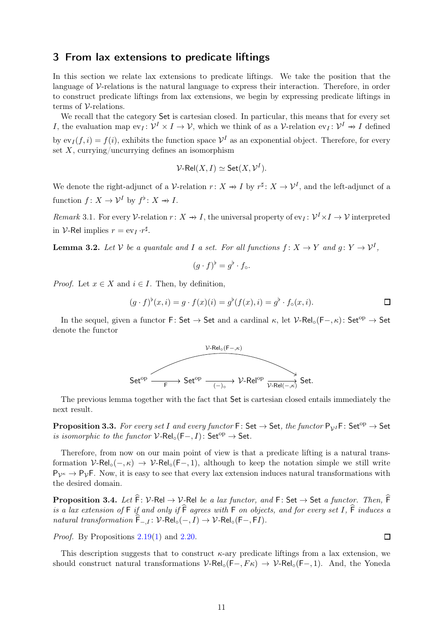## <span id="page-10-0"></span>3 From lax extensions to predicate liftings

In this section we relate lax extensions to predicate liftings. We take the position that the language of  $\mathcal V$ -relations is the natural language to express their interaction. Therefore, in order to construct predicate liftings from lax extensions, we begin by expressing predicate liftings in terms of  $\mathcal V$ -relations.

We recall that the category Set is cartesian closed. In particular, this means that for every set I, the evaluation map  $ev_I: \mathcal{V}^I \times I \to \mathcal{V}$ , which we think of as a  $\mathcal{V}\text{-relation ev}_I: \mathcal{V}^I \to I$  defined by  $ev_I(f, i) = f(i)$ , exhibits the function space  $\mathcal{V}^I$  as an exponential object. Therefore, for every set  $X$ , currying/uncurrying defines an isomorphism

$$
\mathcal{V}\text{-}Rel(X,I) \simeq Set(X,\mathcal{V}^I).
$$

We denote the right-adjunct of a V-relation  $r: X \to I$  by  $r^{\sharp}: X \to V^I$ , and the left-adjunct of a function  $f: X \to \mathcal{V}^I$  by  $f^{\flat}: X \to I$ .

Remark 3.1. For every V-relation  $r: X \to I$ , the universal property of  $ev_I: \mathcal{V}^I \times I \to \mathcal{V}$  interpreted in *V*-Rel implies  $r = \mathrm{ev}_I \cdot r^{\sharp}$ .

**Lemma 3.2.** Let V be a quantale and I a set. For all functions  $f: X \to Y$  and  $g: Y \to V^I$ ,

$$
(g \cdot f)^{\flat} = g^{\flat} \cdot f_{\circ}.
$$

*Proof.* Let  $x \in X$  and  $i \in I$ . Then, by definition,

$$
(g \cdot f)^{\flat}(x, i) = g \cdot f(x)(i) = g^{\flat}(f(x), i) = g^{\flat} \cdot f_{\circ}(x, i).
$$

In the sequel, given a functor F: Set  $\rightarrow$  Set and a cardinal  $\kappa$ , let  $\mathcal{V}\text{-}Rel_{\circ}(\mathsf{F}-,\kappa)$ : Set<sup>op</sup>  $\rightarrow$  Set denote the functor



The previous lemma together with the fact that Set is cartesian closed entails immediately the next result.

**Proposition 3.3.** For every set I and every functor  $F: Set \to Set$ , the functor  $P_{V^I}F: Set^{op} \to Set$ is isomorphic to the functor  $V\text{-}Rel_{\circ}(\mathsf{F}-, I)$ : Set<sup>op</sup>  $\rightarrow$  Set.

Therefore, from now on our main point of view is that a predicate lifting is a natural transformation  $V\text{-}Rel_{\circ}(-, \kappa) \rightarrow V\text{-}Rel_{\circ}(-, 1)$ , although to keep the notation simple we still write  $P_{\mathcal{V}^k} \to P_{\mathcal{V}}F$ . Now, it is easy to see that every lax extension induces natural transformations with the desired domain.

**Proposition 3.4.** Let  $\hat{F}$ : V-Rel  $\rightarrow$  V-Rel be a lax functor, and F: Set  $\rightarrow$  Set a functor. Then,  $\hat{F}$ is a lax extension of  $F$  if and only if  $\widehat{F}$  agrees with  $F$  on objects, and for every set I,  $\widehat{F}$  induces a natural transformation  $\widehat{F}_{-,I}$ :  $V\text{-}Rel_{\circ}(-, I) \rightarrow V\text{-}Rel_{\circ}(F-, FI)$ .

Proof. By Propositions [2.19\(](#page-8-0)[1\)](#page-8-1) and [2.20.](#page-8-2)

This description suggests that to construct  $\kappa$ -ary predicate liftings from a lax extension, we should construct natural transformations  $V\text{-}Rel_{\circ}(F-, F\kappa) \rightarrow V\text{-}Rel_{\circ}(F-, 1)$ . And, the Yoneda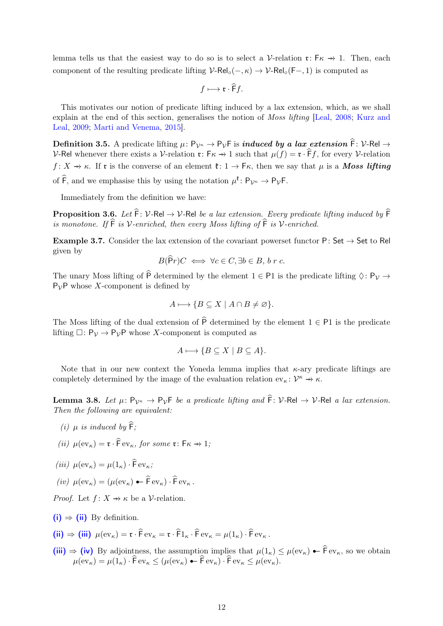lemma tells us that the easiest way to do so is to select a  $\mathcal V$ -relation  $\mathfrak r: \mathsf F\kappa \to 1$ . Then, each component of the resulting predicate lifting  $V\text{-}Rel_{\circ}(-, \kappa) \rightarrow V\text{-}Rel_{\circ}(F-, 1)$  is computed as

$$
f \longmapsto \mathfrak{r} \cdot \widehat{\mathsf{F}} f.
$$

This motivates our notion of predicate lifting induced by a lax extension, which, as we shall expl[ain at the end of this section, generalises the notion of](#page-23-3) Moss lifting [\[Leal,](#page-24-1) [2008;](#page-24-1) Kurz and Leal, [2009](#page-23-3); [Marti and Venema,](#page-24-0) [2015](#page-24-0)].

Definition 3.5. A predicate lifting  $\mu: P_{\mathcal{V}^{\kappa}} \to P_{\mathcal{V}}F$  is *induced by a lax extension*  $\widehat{F}: \mathcal{V}$ -Rel  $\to$ V-Rel whenever there exists a V-relation  $\mathfrak{r}$ :  $\mathfrak{F}_{\kappa} \to 1$  such that  $\mu(f) = \mathfrak{r} \cdot \widehat{\mathfrak{F}} f$ , for every V-relation f: X  $\rightarrow \kappa$ . If **r** is the converse of an element  $\mathfrak{k}: 1 \rightarrow F\kappa$ , then we say that  $\mu$  is a **Moss lifting** of  $\widehat{F}$ , and we emphasise this by using the notation  $\mu^{\mathfrak{k}} \colon P_{\mathcal{V}^{\kappa}} \to P_{\mathcal{V}}F$ .

Immediately from the definition we have:

**Proposition 3.6.** Let  $\hat{F}$ : V-Rel  $\rightarrow$  V-Rel be a lax extension. Every predicate lifting induced by  $\hat{F}$ is monotone. If  $\widehat{F}$  is V-enriched, then every Moss lifting of  $\widehat{F}$  is V-enriched.

Example 3.7. Consider the lax extension of the covariant powerset functor P: Set  $\rightarrow$  Set to Rel given by

$$
B(\mathsf{P}r)C \iff \forall c \in C, \exists b \in B, \, b \, r \, c.
$$

The unary Moss lifting of  $\hat{P}$  determined by the element  $1 \in \mathsf{P1}$  is the predicate lifting  $\Diamond : \mathsf{P}_{\mathcal{V}} \to$  $P_{\mathcal{V}}$ P whose X-component is defined by

$$
A \longmapsto \{ B \subseteq X \mid A \cap B \neq \varnothing \}.
$$

The Moss lifting of the dual extension of  $\widehat{P}$  determined by the element  $1 \in \mathsf{P}1$  is the predicate lifting  $\Box: \mathsf{P}_{\mathcal{V}} \to \mathsf{P}_{\mathcal{V}}\mathsf{P}$  whose X-component is computed as

$$
A \longmapsto \{ B \subseteq X \mid B \subseteq A \}.
$$

Note that in our new context the Yoneda lemma implies that  $\kappa$ -ary predicate liftings are completely determined by the image of the evaluation relation  $ev_{\kappa} : \mathcal{V}^{\kappa} \to \kappa$ .

<span id="page-11-4"></span>**Lemma 3.8.** Let  $\mu: P_{\mathcal{V}^k} \to P_{\mathcal{V}}F$  be a predicate lifting and  $\widehat{F}: \mathcal{V}$ -Rel  $\to \mathcal{V}$ -Rel a lax extension. Then the following are equivalent:

- <span id="page-11-1"></span><span id="page-11-0"></span>(i)  $\mu$  is induced by  $\widehat{F}$ ;
- <span id="page-11-2"></span>(ii)  $\mu(\mathrm{ev}_{\kappa}) = \mathfrak{r} \cdot \widehat{\mathsf{F}} \mathrm{ev}_{\kappa},$  for some  $\mathfrak{r} \colon \mathsf{F} \kappa \to 1$ ;

<span id="page-11-3"></span>
$$
(iii) \ \mu(\mathrm{ev}_{\kappa}) = \mu(1_{\kappa}) \cdot \widehat{\mathrm{F}} \,\mathrm{ev}_{\kappa};
$$

(iv)  $\mu(\mathrm{ev}_{\kappa}) = (\mu(\mathrm{ev}_{\kappa}) \bullet \widehat{\mathsf{F}} \mathrm{ev}_{\kappa}) \cdot \widehat{\mathsf{F}} \mathrm{ev}_{\kappa}$ .

*Proof.* Let  $f: X \to \kappa$  be a V-relation.

- $(i) \Rightarrow (ii)$  $(i) \Rightarrow (ii)$  $(i) \Rightarrow (ii)$  By definition.
- $(ii) \Rightarrow (iii) \mu(\mathrm{ev}_{\kappa}) = \mathfrak{r} \cdot \hat{\mathsf{F}} \cdot \mathrm{ev}_{\kappa} = \mathfrak{r} \cdot \hat{\mathsf{F}} \cdot \hat{\mathsf{F}} \cdot \mathrm{ev}_{\kappa} = \mu(1_{\kappa}) \cdot \hat{\mathsf{F}} \cdot \mathrm{ev}_{\kappa}$  $(ii) \Rightarrow (iii) \mu(\mathrm{ev}_{\kappa}) = \mathfrak{r} \cdot \hat{\mathsf{F}} \cdot \mathrm{ev}_{\kappa} = \mathfrak{r} \cdot \hat{\mathsf{F}} \cdot \hat{\mathsf{F}} \cdot \mathrm{ev}_{\kappa} = \mu(1_{\kappa}) \cdot \hat{\mathsf{F}} \cdot \mathrm{ev}_{\kappa}$  $(ii) \Rightarrow (iii) \mu(\mathrm{ev}_{\kappa}) = \mathfrak{r} \cdot \hat{\mathsf{F}} \cdot \mathrm{ev}_{\kappa} = \mathfrak{r} \cdot \hat{\mathsf{F}} \cdot \hat{\mathsf{F}} \cdot \mathrm{ev}_{\kappa} = \mu(1_{\kappa}) \cdot \hat{\mathsf{F}} \cdot \mathrm{ev}_{\kappa}$  $(ii) \Rightarrow (iii) \mu(\mathrm{ev}_{\kappa}) = \mathfrak{r} \cdot \hat{\mathsf{F}} \cdot \mathrm{ev}_{\kappa} = \mathfrak{r} \cdot \hat{\mathsf{F}} \cdot \hat{\mathsf{F}} \cdot \mathrm{ev}_{\kappa} = \mu(1_{\kappa}) \cdot \hat{\mathsf{F}} \cdot \mathrm{ev}_{\kappa}$ .
- [\(iii\)](#page-11-2)  $\Rightarrow$  [\(iv\)](#page-11-3) By adjointness, the assumption implies that  $\mu(1_{\kappa}) \leq \mu(\mathrm{ev}_{\kappa}) \leftarrow \widehat{F} \mathrm{ev}_{\kappa}$ , so we obtain  $\mu(\text{ev}_{\kappa}) = \mu(1_{\kappa}) \cdot \hat{F} \text{ev}_{\kappa} \leq (\mu(\text{ev}_{\kappa}) \cdot \hat{F} \text{ev}_{\kappa}) \cdot \hat{F} \text{ev}_{\kappa} \leq \mu(\text{ev}_{\kappa}).$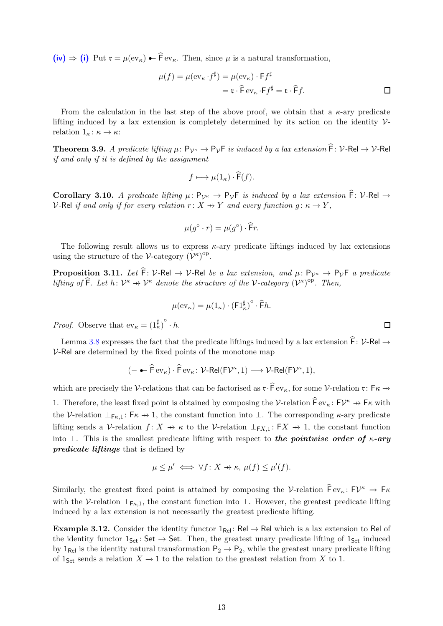$(iv) \Rightarrow (i)$  $(iv) \Rightarrow (i)$  $(iv) \Rightarrow (i)$  Put  $\mathfrak{r} = \mu(\mathrm{ev}_{\kappa}) - \hat{\mathfrak{f}} \mathrm{ev}_{\kappa}$ . Then, since  $\mu$  is a natural transformation,

$$
\mu(f) = \mu(\text{ev}_{\kappa} \cdot f^{\sharp}) = \mu(\text{ev}_{\kappa}) \cdot \text{F} f^{\sharp}
$$
  
=  $\mathfrak{r} \cdot \widehat{\text{F}} \text{ev}_{\kappa} \cdot \text{F} f^{\sharp} = \mathfrak{r} \cdot \widehat{\text{F}} f.$ 

From the calculation in the last step of the above proof, we obtain that a  $\kappa$ -ary predicate lifting induced by a lax extension is completely determined by its action on the identity  $\mathcal{V}$ relation  $1_{\kappa} : \kappa \to \kappa$ :

<span id="page-12-1"></span>**Theorem 3.9.** A predicate lifting  $\mu: P_{\mathcal{V}^{\kappa}} \to P_{\mathcal{V}}F$  is induced by a lax extension  $\widehat{F}: \mathcal{V}$ -Rel  $\to \mathcal{V}$ -Rel if and only if it is defined by the assignment

$$
f \longmapsto \mu(1_{\kappa}) \cdot \widehat{\mathsf{F}}(f).
$$

Corollary 3.10. A predicate lifting  $\mu: P_{\mathcal{V}^{\kappa}} \to P_{\mathcal{V}}F$  is induced by a lax extension  $\widehat{F}: \mathcal{V}$ -Rel  $\to$ V-Rel if and only if for every relation  $r: X \rightarrow Y$  and every function  $g: \kappa \rightarrow Y$ ,

$$
\mu(g^{\circ}\cdot r)=\mu(g^{\circ})\cdot\widehat{\mathsf{F}}r.
$$

The following result allows us to express  $\kappa$ -ary predicate liftings induced by lax extensions using the structure of the V-category  $(\mathcal{V}^{\kappa})^{\text{op}}$ .

<span id="page-12-0"></span>**Proposition 3.11.** Let  $\hat{F}$ : V-Rel  $\rightarrow$  V-Rel be a lax extension, and  $\mu$ :  $P_{\mathcal{V}^{\kappa}} \rightarrow P_{\mathcal{V}}F$  a predicate lifting of  $\hat{\mathsf{F}}$ . Let  $h: \mathcal{V}^{\kappa} \to \mathcal{V}^{\kappa}$  denote the structure of the V-category  $(\mathcal{V}^{\kappa})^{\mathrm{op}}$ . Then,

$$
\mu(\mathrm{ev}_{\kappa}) = \mu(1_{\kappa}) \cdot (\mathrm{F1}_{\kappa}^{\sharp})^{\circ} \cdot \widehat{\mathrm{F}}h.
$$

*Proof.* Observe that  $ev_{\kappa} = (1^{\sharp}_{\kappa})^{\circ} \cdot h$ .

Lemma [3.8](#page-11-4) expresses the fact that the predicate liftings induced by a lax extension  $\hat{\mathsf{F}}\colon \mathcal{V}\text{-}\mathsf{Rel} \to$  $V$ -Rel are determined by the fixed points of the monotone map

$$
(-\leftarrow \widehat{\mathsf{F}} \,\mathrm{ev}_{\kappa}) \cdot \widehat{\mathsf{F}} \,\mathrm{ev}_{\kappa} \colon \mathcal{V}\text{-}\mathsf{Rel}(\mathsf{F}\mathcal{V}^{\kappa},1) \longrightarrow \mathcal{V}\text{-}\mathsf{Rel}(\mathsf{F}\mathcal{V}^{\kappa},1),
$$

which are precisely the V-relations that can be factorised as  $\mathfrak{r} \cdot \widehat{F}$  ev<sub> $\kappa$ </sub>, for some V-relation  $\mathfrak{r} \colon F \kappa \to \infty$ 1. Therefore, the least fixed point is obtained by composing the V-relation  $\widehat{F}$  ev<sub> $\kappa$ </sub>:  $FV^{\kappa} \to F\kappa$  with the V-relation  $\perp_{F_{\kappa,1}}: F_{\kappa} \to 1$ , the constant function into  $\perp$ . The corresponding  $\kappa$ -ary predicate lifting sends a V-relation  $f: X \to \kappa$  to the V-relation  $\perp_{\mathsf{F}X,1} : \mathsf{F}X \to 1$ , the constant function into ⊥. This is the smallest predicate lifting with respect to the pointwise order of  $\kappa$ -ary predicate liftings that is defined by

$$
\mu \le \mu' \iff \forall f \colon X \to \kappa, \, \mu(f) \le \mu'(f).
$$

Similarly, the greatest fixed point is attained by composing the V-relation  $\widehat{F}ev_{\kappa} : FV^{\kappa} \to F\kappa$ with the V-relation  $\top_{F_{\kappa}}$ , the constant function into ⊤. However, the greatest predicate lifting induced by a lax extension is not necessarily the greatest predicate lifting.

Example 3.12. Consider the identity functor  $1_{\text{Rel}}$ : Rel  $\rightarrow$  Rel which is a lax extension to Rel of the identity functor  $1_{Set}$ : Set  $\rightarrow$  Set. Then, the greatest unary predicate lifting of  $1_{Set}$  induced by  $1_{\text{Rel}}$  is the identity natural transformation  $P_2 \rightarrow P_2$ , while the greatest unary predicate lifting of 1<sub>Set</sub> sends a relation  $X \rightarrow 1$  to the relation to the greatest relation from X to 1.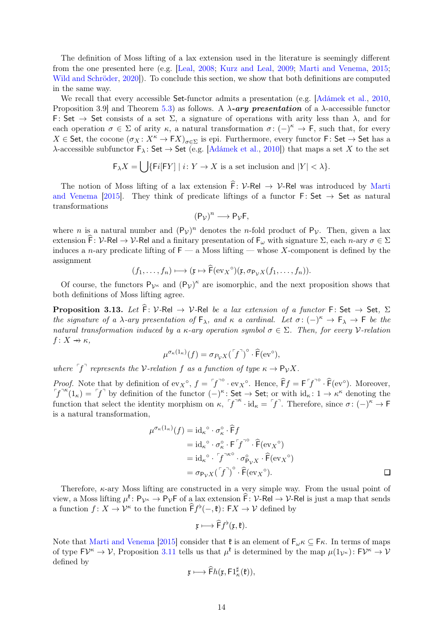The definition of Moss lifting of a lax extension used in the literature is seemingly different from the one presented here (e.g. [\[Leal,](#page-24-1) [2008](#page-24-1); [Kurz and Leal](#page-23-3), [2009](#page-23-3); [Marti and Venema](#page-24-0), [2015](#page-24-0); [Wild and Schröder](#page-24-2), [2020](#page-24-2)]). To conclude this section, we show that both definitions are computed in the same way.

We recall that every accessible Set-functor admits a presentation (e.g.  $\vert$ Adámek et al., [2010](#page-23-7), Proposition 3.9 and Theorem [5.3\)](#page-21-0) as follows. A  $\lambda$ -ary presentation of a  $\lambda$ -accessible functor F: Set  $\rightarrow$  Set consists of a set  $\Sigma$ , a signature of operations with arity less than  $\lambda$ , and for each operation  $\sigma \in \Sigma$  of arity  $\kappa$ , a natural transformation  $\sigma: (-)^{\kappa} \to F$ , such that, for every  $X \in$  Set, the cocone  $(\sigma_X : X^{\kappa} \to FX)_{\sigma \in \Sigma}$  is epi. Furthermore, every functor F: Set  $\to$  Set has a λ-accessible subfunctor  $\mathsf{F}_\lambda$ : Set → Set (e.g. [\[Adámek et al.](#page-23-7), [2010\]](#page-23-7)) that maps a set X to the set

$$
\mathsf{F}_{\lambda}X=\bigcup\{\mathsf{F}i[\mathsf{F}Y]\mid i\colon Y\to X\text{ is a set inclusion and }|Y|<\lambda\}.
$$

The notio[n of Moss lifting of a lax extension](#page-24-0)  $\hat{F}$ : V-Rel  $\rightarrow$  V-Rel was introduced by Marti and Venema [\[2015](#page-24-0)]. They think of predicate liftings of a functor  $\mathsf{F}:\mathsf{Set}\to\mathsf{Set}$  as natural transformations

$$
(\mathsf{P}_{\mathcal{V}})^n \longrightarrow \mathsf{P}_{\mathcal{V}}\mathsf{F},
$$

where *n* is a natural number and  $(P_v)^n$  denotes the *n*-fold product of  $P_v$ . Then, given a lax extension  $\widehat{F}$ : V-Rel  $\rightarrow$  V-Rel and a finitary presentation of  $F_\omega$  with signature  $\Sigma$ , each n-ary  $\sigma \in \Sigma$ induces a *n*-ary predicate lifting of  $F - a$  Moss lifting — whose X-component is defined by the assignment

$$
(f_1,\ldots,f_n)\longmapsto (\mathfrak{x}\mapsto \widehat{\mathsf{F}}(\mathrm{ev}_X\circ)(\mathfrak{x},\sigma_{\mathsf{P}_\mathcal{V} X}(f_1,\ldots,f_n)).
$$

Of course, the functors  $P_{\mathcal{V}^k}$  and  $(P_{\mathcal{V}})^k$  are isomorphic, and the next proposition shows that both definitions of Moss lifting agree.

**Proposition 3.13.** Let  $\hat{F}$ : V-Rel  $\rightarrow$  V-Rel be a lax extension of a functor F: Set  $\rightarrow$  Set,  $\Sigma$ the signature of a  $\lambda$ -ary presentation of  $\mathsf{F}_{\lambda}$ , and  $\kappa$  a cardinal. Let  $\sigma: (-)^{\kappa} \to \mathsf{F}_{\lambda} \to \mathsf{F}$  be the natural transformation induced by a  $\kappa$ -ary operation symbol  $\sigma \in \Sigma$ . Then, for every V-relation  $f: X \rightarrow \kappa$ .

$$
\mu^{\sigma_{\kappa}(1_{\kappa})}(f) = \sigma_{P_{\mathcal{V}}X}(\ulcorner f \urcorner)^{\circ} \cdot \widehat{\mathsf{F}}(\mathrm{ev}^{\circ}),
$$

where  $\ulcorner f \urcorner$  represents the V-relation f as a function of type  $\kappa \to \mathsf{P}_\mathcal{V} X$ .

*Proof.* Note that by definition of  $ev_X^{\circ}$ ,  $f = \int f^{0} \cdot ev_X^{\circ}$ . Hence,  $\hat{F}f = F \int f^{0} \cdot \hat{F}(ev^{\circ})$ . Moreover,  $\int f^{\pi \kappa}(1_{\kappa}) = \int f^{\pi}$  by definition of the functor  $\left(-\right)^{\kappa}$ : Set  $\rightarrow$  Set; or with  $\mathrm{id}_{\kappa}: 1 \rightarrow \kappa^{\kappa}$  denoting the function that select the identity morphism on  $\kappa$ ,  $f^{k} \cdot id_{\kappa} = f^{k}$ . Therefore, since  $\sigma : (-)^{\kappa} \to F$ is a natural transformation,

$$
\mu^{\sigma_{\kappa}(1_{\kappa})}(f) = id_{\kappa}^{\circ} \cdot \sigma_{\kappa}^{\circ} \cdot \widehat{F}f
$$
  
\n
$$
= id_{\kappa}^{\circ} \cdot \sigma_{\kappa}^{\circ} \cdot F^{\cdot} f^{\cdot \circ} \cdot \widehat{F}(ev_{X}^{\circ})
$$
  
\n
$$
= id_{\kappa}^{\circ} \cdot f^{\cdot \kappa \circ} \cdot \sigma_{\mathsf{P}_{\mathcal{V}}X}^{\circ} \cdot \widehat{F}(ev_{X}^{\circ})
$$
  
\n
$$
= \sigma_{\mathsf{P}_{\mathcal{V}}X}(\ulcorner f^{\cdot}\urcorner)^{\circ} \cdot \widehat{F}(ev_{X}^{\circ}).
$$

Therefore, κ-ary Moss lifting are constructed in a very simple way. From the usual point of view, a Moss lifting  $\mu^{\ell} \colon \mathsf{P}_{\mathcal{V}^{\kappa}} \to \mathsf{P}_{\mathcal{V}}\mathsf{F}$  of a lax extension  $\widehat{\mathsf{F}} \colon \mathcal{V}\text{-}\mathsf{Rel} \to \mathcal{V}\text{-}\mathsf{Rel}$  is just a map that sends a function  $f: X \to \mathcal{V}^{\kappa}$  to the function  $\widehat{F}f^{\flat}(-, \mathfrak{k}): FX \to \mathcal{V}$  defined by

$$
\mathfrak{x}\longmapsto \widehat{\mathsf{F}}f^{\flat}(\mathfrak{x},\mathfrak{k}).
$$

Note that [Marti and Venema](#page-24-0) [\[2015\]](#page-24-0) consider that  $\mathfrak{k}$  is an element of  $\mathsf{F}_{\omega} \kappa \subseteq \mathsf{F} \kappa$ . In terms of maps of type  $F\mathcal{V}^{\kappa} \to \mathcal{V}$ , Proposition [3.11](#page-12-0) tells us that  $\mu^{\mathfrak{k}}$  is determined by the map  $\mu(1_{\mathcal{V}^{\kappa}}): F\mathcal{V}^{\kappa} \to \mathcal{V}$ defined by

$$
\mathfrak{x}\longmapsto \widehat{\mathsf{F}}h(\mathfrak{x},\mathsf{F}1^{\sharp}_{\kappa}(\mathfrak{k})),
$$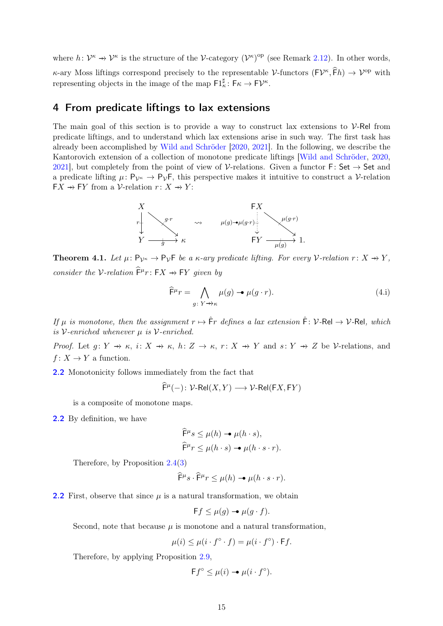where  $h: \mathcal{V}^{\kappa} \to \mathcal{V}^{\kappa}$  is the structure of the V-category  $(\mathcal{V}^{\kappa})^{\text{op}}$  (see Remark [2.12\)](#page-6-0). In other words,  $\kappa$ -ary Moss liftings correspond precisely to the representable V-functors  $(FV^{\kappa}, \hat{F}h) \to V^{\text{op}}$  with representing objects in the image of the map  $\mathsf{F1}^\sharp_\kappa : \mathsf{F}\kappa \to \mathsf{F}\mathcal{V}^\kappa$ .

## <span id="page-14-0"></span>4 From predicate liftings to lax extensions

The main goal of this section is to provide a way to construct lax extensions to  $\mathcal{V}$ -Rel from predicate liftings, and to understand which lax extensions arise in such way. The first task has already been accomplished by [Wild and Schröder](#page-24-2) [\[2020](#page-24-2), [2021](#page-24-3)]. In the following, we describe the Kantorovich extension of a collection of monotone predicate liftings [\[Wild and Schröder](#page-24-2), [2020](#page-24-2), [2021\]](#page-24-3), but completely from the point of view of V-relations. Given a functor F: Set  $\rightarrow$  Set and a predicate lifting  $\mu: \mathsf{P}_{\mathcal{V}^{\kappa}} \to \mathsf{P}_{\mathcal{V}}\mathsf{F}$ , this perspective makes it intuitive to construct a V-relation  $\mathsf{F} X \dashrightarrow \mathsf{F} Y$  from a V-relation  $r: X \dashrightarrow Y$ :



<span id="page-14-2"></span>**Theorem 4.1.** Let  $\mu: \mathsf{P}_{\mathcal{V}^{\kappa}} \to \mathsf{P}_{\mathcal{V}}\mathsf{F}$  be a  $\kappa$ -ary predicate lifting. For every V-relation  $r: X \to Y$ , consider the V-relation  $\widehat{F}^{\mu}r: FX \rightarrow FY$  given by

<span id="page-14-1"></span>
$$
\widehat{\mathsf{F}}^{\mu}r = \bigwedge_{g \colon Y \to \kappa} \mu(g) \to \mu(g \cdot r). \tag{4.1}
$$

If  $\mu$  is monotone, then the assignment  $r \mapsto \hat{F}r$  defines a lax extension  $\hat{F} \colon \mathcal{V}$ -Rel  $\to \mathcal{V}$ -Rel. which is V-enriched whenever  $\mu$  is V-enriched.

Proof. Let  $g: Y \to \kappa$ ,  $i: X \to \kappa$ ,  $h: Z \to \kappa$ ,  $r: X \to Y$  and  $s: Y \to Z$  be V-relations, and  $f: X \to Y$  a function.

[2.2](#page-6-1) Monotonicity follows immediately from the fact that

$$
\widehat{\mathsf{F}}^{\mu}(-)\colon \mathcal{V}\text{-}\mathsf{Rel}(X,Y)\longrightarrow \mathcal{V}\text{-}\mathsf{Rel}(\mathsf{F} X,\mathsf{F} Y)
$$

is a composite of monotone maps.

[2.2](#page-6-4) By definition, we have

$$
\widehat{F}^{\mu}s \le \mu(h) \rightarrow \mu(h \cdot s),
$$
  

$$
\widehat{F}^{\mu}r \le \mu(h \cdot s) \rightarrow \mu(h \cdot s \cdot r).
$$

Therefore, by Proposition [2.4](#page-4-2)[\(3\)](#page-4-3)

$$
\widehat{\mathsf{F}}^{\mu}s \cdot \widehat{\mathsf{F}}^{\mu}r \le \mu(h) \rightarrow \mu(h \cdot s \cdot r).
$$

**[2.2](#page-6-5)** First, observe that since  $\mu$  is a natural transformation, we obtain

$$
\mathsf{F}f \le \mu(g) \to \mu(g \cdot f).
$$

Second, note that because  $\mu$  is monotone and a natural transformation,

$$
\mu(i) \le \mu(i \cdot f^{\circ} \cdot f) = \mu(i \cdot f^{\circ}) \cdot \mathsf{F}f.
$$

Therefore, by applying Proposition [2.9,](#page-5-0)

$$
\mathsf{F}f^{\circ} \leq \mu(i) \to \mu(i \cdot f^{\circ}).
$$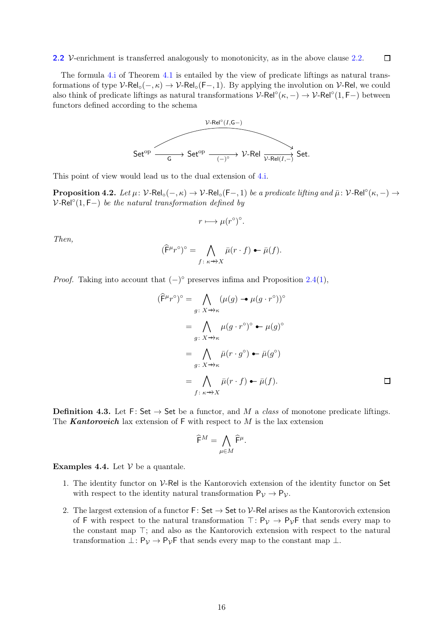The formula [4.i](#page-14-1) of Theorem [4.1](#page-14-2) is entailed by the view of predicate liftings as natural transformations of type  $V\text{-}Rel_{\circ}(-, \kappa) \rightarrow V\text{-}Rel_{\circ}(F-, 1)$ . By applying the involution on  $V\text{-}Rel$ , we could also think of predicate liftings as natural transformations  $V\text{-}Rel^{\circ}(\kappa, -) \to V\text{-}Rel^{\circ}(1, F-)$  between functors defined according to the schema



This point of view would lead us to the dual extension of [4.i.](#page-14-1)

**Proposition 4.2.** Let  $\mu$ :  $V$ -Rel<sub>○</sub> $(-, \kappa) \rightarrow V$ -Rel<sub>○</sub> $(F-, 1)$  be a predicate lifting and  $\bar{\mu}$ :  $V$ -Rel $\degree(\kappa, -) \rightarrow$  $V\text{-}Rel^{\circ}(1, F-)$  be the natural transformation defined by

$$
r \longmapsto \mu(r^{\circ})^{\circ}.
$$

Then,

$$
(\widehat{\mathsf{F}}^{\mu}r^{\circ})^{\circ} = \bigwedge_{f:\ \kappa \to X} \bar{\mu}(r \cdot f) \leftarrow \bar{\mu}(f).
$$

*Proof.* Taking into account that  $(-)^\circ$  preserves infima and Proposition [2.4\(](#page-4-2)[1\)](#page-4-4),

$$
(\widehat{\mathsf{F}}^{\mu}r^{\circ})^{\circ} = \bigwedge_{g \colon X \to \kappa} (\mu(g) \to \mu(g \cdot r^{\circ}))^{\circ}
$$

$$
= \bigwedge_{g \colon X \to \kappa} \mu(g \cdot r^{\circ})^{\circ} \bullet \mu(g)^{\circ}
$$

$$
= \bigwedge_{g \colon X \to \kappa} \bar{\mu}(r \cdot g^{\circ}) \bullet \bar{\mu}(g^{\circ})
$$

$$
= \bigwedge_{f \colon \kappa \to X} \bar{\mu}(r \cdot f) \bullet \bar{\mu}(f).
$$

**Definition 4.3.** Let F: Set  $\rightarrow$  Set be a functor, and M a class of monotone predicate liftings. The **Kantorovich** lax extension of  $F$  with respect to M is the lax extension

$$
\widehat{\mathsf F}^M=\bigwedge_{\mu\in M}\widehat{\mathsf F}^\mu.
$$

<span id="page-15-0"></span>**Examples 4.4.** Let  $V$  be a quantale.

- 1. The identity functor on  $V$ -Rel is the Kantorovich extension of the identity functor on Set with respect to the identity natural transformation  $P_{\mathcal{V}} \to P_{\mathcal{V}}$ .
- 2. The largest extension of a functor  $F: Set \to Set$  to  $\mathcal V$ -Rel arises as the Kantorovich extension of F with respect to the natural transformation  $\top: P_{\mathcal{V}} \to P_{\mathcal{V}}$ F that sends every map to the constant map ⊤; and also as the Kantorovich extension with respect to the natural transformation  $\bot: \mathsf{P}_{\mathcal{V}} \to \mathsf{P}_{\mathcal{V}}$  f that sends every map to the constant map  $\bot$ .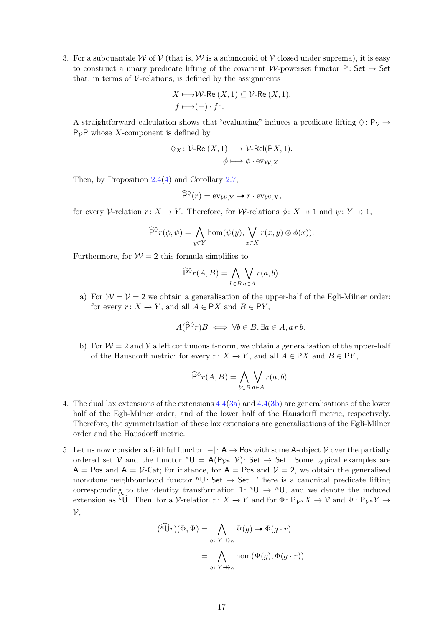<span id="page-16-3"></span>3. For a subquantale W of V (that is, W is a submonoid of V closed under suprema), it is easy to construct a unary predicate lifting of the covariant W-powerset functor P: Set  $\rightarrow$  Set that, in terms of  $\mathcal V$ -relations, is defined by the assignments

$$
X \longmapsto \mathcal{W}\text{-Rel}(X,1) \subseteq \mathcal{V}\text{-Rel}(X,1),
$$
  

$$
f \longmapsto (-) \cdot f^{\circ}.
$$

A straightforward calculation shows that "evaluating" induces a predicate lifting  $\Diamond: \mathsf{P}_\mathcal{V} \to$  $P_{\mathcal{V}}$ P whose X-component is defined by

$$
\Diamond_X \colon \mathcal{V}\text{-}Rel(X,1) \longrightarrow \mathcal{V}\text{-}Rel(PX,1).
$$

$$
\phi \longmapsto \phi \cdot \text{ev}_{\mathcal{W},X}
$$

Then, by Proposition [2.4\(](#page-4-2)[4\)](#page-4-5) and Corollary [2.7,](#page-5-1)

$$
\widehat{\mathsf{P}}^{\lozenge}(r) = \text{ev}_{\mathcal{W},Y} \rightarrow r \cdot \text{ev}_{\mathcal{W},X},
$$

for every V-relation  $r: X \to Y$ . Therefore, for W-relations  $\phi: X \to 1$  and  $\psi: Y \to 1$ ,

$$
\widehat{P}^{\lozenge}r(\phi,\psi) = \bigwedge_{y \in Y} \hom(\psi(y), \bigvee_{x \in X} r(x,y) \otimes \phi(x)).
$$

Furthermore, for  $W = 2$  this formula simplifies to

$$
\widehat{P}^{\lozenge}r(A,B) = \bigwedge_{b \in B} \bigvee_{a \in A} r(a,b).
$$

<span id="page-16-0"></span>a) For  $\mathcal{W} = \mathcal{V} = 2$  we obtain a generalisation of the upper-half of the Egli-Milner order: for every  $r: X \to Y$ , and all  $A \in PX$  and  $B \in PY$ ,

$$
A(\widehat{\mathsf{P}}^\Diamond r)B \iff \forall b \in B, \exists a \in A, a \, r \, b.
$$

<span id="page-16-1"></span>b) For  $W = 2$  and V a left continuous t-norm, we obtain a generalisation of the upper-half of the Hausdorff metric: for every  $r: X \to Y$ , and all  $A \in \mathsf{P}X$  and  $B \in \mathsf{P}Y$ ,

$$
\widehat{\mathsf{P}}^{\lozenge} r(A, B) = \bigwedge_{b \in B} \bigvee_{a \in A} r(a, b).
$$

- 4. The dual lax extensions of the extensions [4.4\(](#page-15-0)[3a\)](#page-16-0) and [4.4\(](#page-15-0)[3b\)](#page-16-1) are generalisations of the lower half of the Egli-Milner order, and of the lower half of the Hausdorff metric, respectively. Therefore, the symmetrisation of these lax extensions are generalisations of the Egli-Milner order and the Hausdorff metric.
- <span id="page-16-2"></span>5. Let us now consider a faithful functor  $|-|: A \rightarrow \text{Pos with some A-object } V$  over the partially ordered set V and the functor  ${}^kU = A(P_{V^k}, V)$ : Set  $\rightarrow$  Set. Some typical examples are  $A = Pos$  and  $A = V$ -Cat; for instance, for  $A = Pos$  and  $V = 2$ , we obtain the generalised monotone neighbourhood functor  ${}^{\kappa}U:$  Set  $\rightarrow$  Set. There is a canonical predicate lifting corresponding to the identity transformation 1:  $\kappa \cup \rightarrow \kappa \cup$ , and we denote the induced extension as  $\widehat{KU}$ . Then, for a V-relation  $r: X \to Y$  and for  $\Phi \colon \mathsf{P}_{\mathcal{V}^{\kappa}}X \to V$  and  $\Psi \colon \mathsf{P}_{\mathcal{V}^{\kappa}}Y \to V$  $\mathcal{V}$ .

$$
(\widehat{\kappa}\widehat{U}r)(\Phi, \Psi) = \bigwedge_{g \colon Y \to \kappa} \Psi(g) \to \Phi(g \cdot r)
$$

$$
= \bigwedge_{g \colon Y \to \kappa} \hom(\Psi(g), \Phi(g \cdot r)).
$$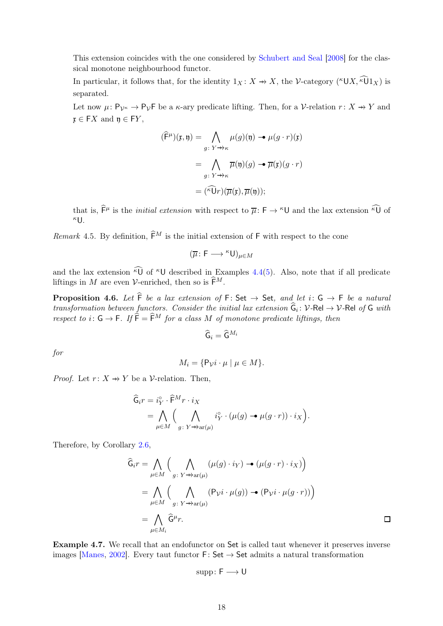This extension coincides with the one considered by [Schubert and Seal](#page-24-9) [\[2008\]](#page-24-9) for the classical monotone neighbourhood functor.

In particular, it follows that, for the identity  $1_X: X \to X$ , the V-category (<sup> $\kappa$ </sup>UX,  $\widetilde{\kappa}$ U $1_X$ ) is separated.

Let now  $\mu: \mathsf{P}_{\mathcal{V}^{\kappa}} \to \mathsf{P}_{\mathcal{V}}\mathsf{F}$  be a  $\kappa$ -ary predicate lifting. Then, for a V-relation  $r: X \to Y$  and  $\mathfrak{x} \in FX$  and  $\mathfrak{y} \in FY$ ,

$$
(\widehat{\mathsf{F}}^{\mu})(\mathfrak{x}, \mathfrak{y}) = \bigwedge_{g \colon Y \to \kappa} \mu(g)(\mathfrak{y}) \to \mu(g \cdot r)(\mathfrak{x})
$$

$$
= \bigwedge_{g \colon Y \to \kappa} \overline{\mu}(\mathfrak{y})(g) \to \overline{\mu}(\mathfrak{x})(g \cdot r)
$$

$$
= (\widehat{\kappa} \widehat{\mathsf{U}}r)(\overline{\mu}(\mathfrak{x}), \overline{\mu}(\mathfrak{y}));
$$

that is,  $\hat{\mathsf{F}}^{\mu}$  is the *initial extension* with respect to  $\overline{\mu}$ :  $\mathsf{F} \to {}^{\kappa} \mathsf{U}$  and the lax extension  $\widehat{ {}^{\kappa} \mathsf{U}}$  of  $\kappa$ U.

<span id="page-17-1"></span>Remark 4.5. By definition,  $\widehat{\mathsf{F}}^M$  is the initial extension of F with respect to the cone

$$
(\overline{\mu}\colon \mathsf{F}\longrightarrow{}^{\kappa}\mathsf{U})_{\mu\in M}
$$

and the lax extension  $\widehat{\kappa}$  of  $\kappa$ U described in Examples [4.4](#page-15-0)[\(5\)](#page-16-2). Also, note that if all predicate liftings in M are even V-enriched, then so is  $\widehat{\mathsf{F}}^M$ .

<span id="page-17-0"></span>**Proposition 4.6.** Let  $\hat{F}$  be a lax extension of  $F: Set \rightarrow Set$ , and let  $i: G \rightarrow F$  be a natural transformation between functors. Consider the initial lax extension  $G_i: V\text{-}Rel \to V\text{-}Rel$  of G with respect to i:  $G \rightarrow F$ . If  $\tilde{F} = \tilde{F}^M$  for a class M of monotone predicate liftings, then

$$
\widehat{\mathsf{G}}_{i}=\widehat{\mathsf{G}}^{M_{i}}
$$

for

$$
M_i = \{ \mathsf{P}_{\mathcal{V}} i \cdot \mu \mid \mu \in M \}.
$$

*Proof.* Let  $r: X \rightarrow Y$  be a V-relation. Then,

$$
\begin{aligned} \widehat{\mathsf{G}}_{i}r &= i_Y^{\circ} \cdot \widehat{\mathsf{F}}^{M} r \cdot i_X \\ &= \bigwedge_{\mu \in M} \Big( \bigwedge_{g \colon Y \to \text{ar}(\mu)} i_Y^{\circ} \cdot (\mu(g) \to \mu(g \cdot r)) \cdot i_X \Big). \end{aligned}
$$

Therefore, by Corollary [2.6,](#page-4-6)

$$
\widehat{G}_{i}r = \bigwedge_{\mu \in M} \Big( \bigwedge_{g \colon Y \to \text{ar}(\mu)} (\mu(g) \cdot i_Y) \to (\mu(g \cdot r) \cdot i_X) \Big)
$$

$$
= \bigwedge_{\mu \in M} \Big( \bigwedge_{g \colon Y \to \text{ar}(\mu)} (\mathsf{P}_{\mathcal{V}} i \cdot \mu(g)) \to (\mathsf{P}_{\mathcal{V}} i \cdot \mu(g \cdot r)) \Big)
$$

$$
= \bigwedge_{\mu \in M_i} \widehat{\mathsf{G}}^{\mu}r.
$$

Example 4.7. We recall that an endofunctor on Set is called taut whenever it preserves inverse images [\[Manes,](#page-24-13) [2002](#page-24-13)]. Every taut functor  $F: Set \rightarrow Set$  admits a natural transformation

$$
\mathrm{supp}\colon F\longrightarrow U
$$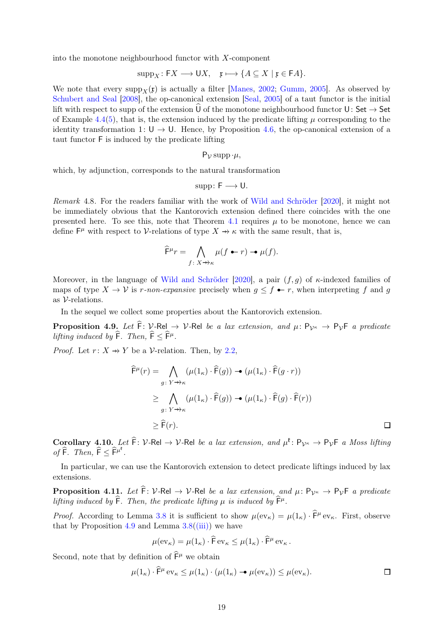into the monotone neighbourhood functor with X-component

$$
supp_X : FX \longrightarrow \mathsf{U}X, \quad \mathfrak{x} \longmapsto \{A \subseteq X \mid \mathfrak{x} \in \mathsf{F}A\}.
$$

We note that every supp $_X(\mathfrak{x})$  is actually a filter [\[Manes,](#page-24-13) [2002;](#page-24-13) [Gumm,](#page-23-8) [2005\]](#page-23-8). As observed by [Schubert and Seal](#page-24-9) [\[2008\]](#page-24-9), the op-canonical extension [\[Seal,](#page-24-8) [2005](#page-24-8)] of a taut functor is the initial lift with respect to supp of the extension  $\hat{U}$  of the monotone neighbourhood functor  $U:$  Set  $\rightarrow$  Set of Example [4.4\(](#page-15-0)[5\)](#page-16-2), that is, the extension induced by the predicate lifting  $\mu$  corresponding to the identity transformation 1:  $U \rightarrow U$ . Hence, by Proposition [4.6,](#page-17-0) the op-canonical extension of a taut functor F is induced by the predicate lifting

$$
P_{\mathcal{V}}\operatorname{supp}\cdot\mu,
$$

which, by adjunction, corresponds to the natural transformation

$$
\mathrm{supp}\colon F\longrightarrow U.
$$

Remark 4.8. For the readers familiar with the work of [Wild and Schröder](#page-24-2) [\[2020\]](#page-24-2), it might not be immediately obvious that the Kantorovich extension defined there coincides with the one presented here. To see this, note that Theorem [4.1](#page-14-2) requires  $\mu$  to be monotone, hence we can define  $\mathsf{F}^{\mu}$  with respect to V-relations of type  $X \to \kappa$  with the same result, that is,

$$
\widehat{F}^{\mu}r = \bigwedge_{f \colon X \to \kappa} \mu(f \bullet r) \bullet \mu(f).
$$

Moreover, in the language of [Wild and Schröder](#page-24-2) [\[2020\]](#page-24-2), a pair  $(f, g)$  of  $\kappa$ -indexed families of maps of type  $X \to V$  is r-non-expansive precisely when  $g \leq f \bullet r$ , when interpreting f and g as  $V$ -relations.

In the sequel we collect some properties about the Kantorovich extension.

<span id="page-18-0"></span>**Proposition 4.9.** Let  $\hat{F}$ : V-Rel  $\rightarrow$  V-Rel be a lax extension, and  $\mu$ : P<sub>VK</sub>  $\rightarrow$  P<sub>V</sub>F a predicate lifting induced by  $\widehat{\mathsf{F}}$ . Then,  $\widehat{\mathsf{F}} \leq \widehat{\mathsf{F}}^{\mu}$ .

*Proof.* Let  $r: X \rightarrow Y$  be a V-relation. Then, by [2.2,](#page-6-4)

$$
\widehat{\mathsf{F}}^{\mu}(r) = \bigwedge_{g \colon Y \to \kappa} (\mu(1_{\kappa}) \cdot \widehat{\mathsf{F}}(g)) \to (\mu(1_{\kappa}) \cdot \widehat{\mathsf{F}}(g \cdot r))
$$
\n
$$
\geq \bigwedge_{g \colon Y \to \kappa} (\mu(1_{\kappa}) \cdot \widehat{\mathsf{F}}(g)) \to (\mu(1_{\kappa}) \cdot \widehat{\mathsf{F}}(g) \cdot \widehat{\mathsf{F}}(r))
$$
\n
$$
\geq \widehat{\mathsf{F}}(r).
$$

Corollary  $4.10$ , Let  $\widehat{F}$ : V-Rel  $\rightarrow$  V-Rel be a lax extension, and  $\mu^{\mathfrak{k}}$ : P<sub>VK</sub>  $\rightarrow$  P<sub>V</sub>F a Moss lifting of  $\hat{\mathsf{F}}$ . Then,  $\hat{\mathsf{F}} \leq \hat{\mathsf{F}}^{\mu^{\mathfrak{k}}}$ .

In particular, we can use the Kantorovich extension to detect predicate liftings induced by lax extensions.

**Proposition 4.11.** Let  $\hat{F}$ : V-Rel  $\rightarrow$  V-Rel be a lax extension, and  $\mu$ : P<sub>VK</sub>  $\rightarrow$  P<sub>V</sub>F a predicate lifting induced by  $\widehat{F}$ . Then, the predicate lifting  $\mu$  is induced by  $\widehat{F}^{\mu}$ .

*Proof.* According to Lemma [3.8](#page-11-4) it is sufficient to show  $\mu(\text{ev}_{\kappa}) = \mu(1_{\kappa}) \cdot \hat{F}^{\mu} \text{ev}_{\kappa}$ . First, observe that by Proposition [4.9](#page-18-0) and Lemma  $3.8(iii)$  $3.8(iii)$  we have

$$
\mu(\mathrm{ev}_{\kappa}) = \mu(1_{\kappa}) \cdot \widehat{\mathsf{F}} \,\mathrm{ev}_{\kappa} \leq \mu(1_{\kappa}) \cdot \widehat{\mathsf{F}}^{\mu} \,\mathrm{ev}_{\kappa} \,.
$$

Second, note that by definition of  $\widehat{\mathsf{F}}^{\mu}$  we obtain

$$
\mu(1_{\kappa}) \cdot \widehat{\mathsf{F}}^{\mu} \operatorname{ev}_{\kappa} \le \mu(1_{\kappa}) \cdot (\mu(1_{\kappa}) \to \mu(\operatorname{ev}_{\kappa})) \le \mu(\operatorname{ev}_{\kappa}).
$$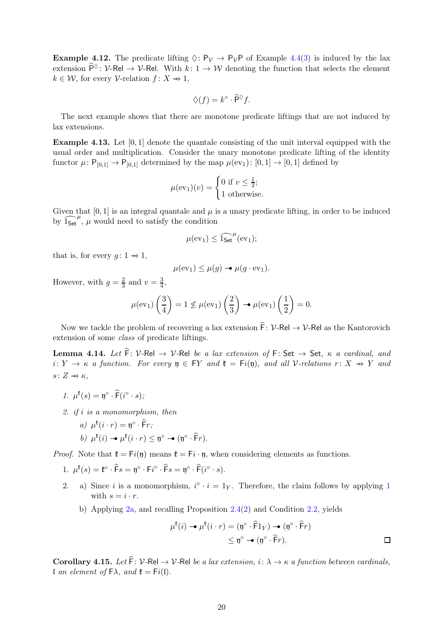**Example 4.12.** The predicate lifting  $\Diamond: \mathsf{P}_{\mathcal{V}} \to \mathsf{P}_{\mathcal{V}}\mathsf{P}$  of Example [4.4\(](#page-15-0)[3\)](#page-16-3) is induced by the lax extension  $\widehat{P}^{\lozenge}$ : V-Rel  $\rightarrow$  V-Rel. With  $k: 1 \rightarrow W$  denoting the function that selects the element  $k \in \mathcal{W}$ , for every  $\mathcal{V}\text{-relation } f: X \to 1$ ,

$$
\Diamond(f) = k^{\circ} \cdot \widehat{\mathsf{P}}^{\Diamond} f.
$$

The next example shows that there are monotone predicate liftings that are not induced by lax extensions.

Example 4.13. Let [0, 1] denote the quantale consisting of the unit interval equipped with the usual order and multiplication. Consider the unary monotone predicate lifting of the identity functor  $\mu: \mathsf{P}_{[0,1]} \to \mathsf{P}_{[0,1]}$  determined by the map  $\mu(\text{ev}_1): [0,1] \to [0,1]$  defined by

$$
\mu(\text{ev}_1)(v) = \begin{cases} 0 \text{ if } v \le \frac{1}{2}; \\ 1 \text{ otherwise.} \end{cases}
$$

Given that  $[0, 1]$  is an integral quantale and  $\mu$  is a unary predicate lifting, in order to be induced by  $1_{\text{Set}}^{\mu}$ ,  $\mu$  would need to satisfy the condition

$$
\mu(ev_1)\leq \widehat{1_{\mathsf{Set}}}^\mu(ev_1);
$$

that is, for every  $g: 1 \rightarrow 1$ ,

$$
\mu(\mathrm{ev}_1) \le \mu(g) \rightarrow \mu(g \cdot \mathrm{ev}_1).
$$

However, with  $g = \frac{2}{3}$  $\frac{2}{3}$  and  $v = \frac{3}{4}$  $\frac{3}{4}$ ,

$$
\mu(\mathrm{ev}_1)\left(\frac{3}{4}\right) = 1 \nleq \mu(\mathrm{ev}_1)\left(\frac{2}{3}\right) \rightarrow \mu(\mathrm{ev}_1)\left(\frac{1}{2}\right) = 0.
$$

Now we tackle the problem of recovering a lax extension  $\hat{F}$ :  $V$ -Rel  $\rightarrow$  V-Rel as the Kantorovich extension of some class of predicate liftings.

<span id="page-19-2"></span>**Lemma 4.14.** Let  $\hat{F}$ : V-Rel  $\rightarrow$  V-Rel be a lax extension of F: Set  $\rightarrow$  Set,  $\kappa$  a cardinal, and i:  $Y \rightarrow \kappa$  a function. For every  $\mathfrak{y} \in FY$  and  $\mathfrak{k} = Fi(\mathfrak{y})$ , and all V-relations  $r: X \rightarrow Y$  and s:  $Z \rightarrow \kappa$ .

<span id="page-19-0"></span>
$$
1. \ \mu^{\mathfrak{k}}(s) = \mathfrak{y}^{\circ} \cdot \widehat{\mathsf{F}}(i^{\circ} \cdot s);
$$

- <span id="page-19-1"></span>2. if i is a monomorphism, then
	- a)  $\mu^{\mathfrak{k}}(i \cdot r) = \mathfrak{y}^{\circ} \cdot \widehat{\mathsf{F}} r;$

$$
b) \mu^{\mathfrak{k}}(i) \rightarrow \mu^{\mathfrak{k}}(i \cdot r) \leq \mathfrak{y}^{\circ} \rightarrow (\mathfrak{y}^{\circ} \cdot \widehat{F}r).
$$

*Proof.* Note that  $\mathfrak{k} = \mathsf{F}_i(\mathfrak{y})$  means  $\mathfrak{k} = \mathsf{F}_i \cdot \mathfrak{y}$ , when considering elements as functions.

- 1.  $\mu^{\mathfrak{k}}(s) = \mathfrak{k}^{\circ} \cdot \widehat{\mathsf{F}}s = \mathfrak{y}^{\circ} \cdot \mathsf{F}i^{\circ} \cdot \widehat{\mathsf{F}}s = \mathfrak{y}^{\circ} \cdot \widehat{\mathsf{F}}(i^{\circ} \cdot s).$
- 2. a) Since *i* is a monomorphism,  $i^{\circ} \cdot i = 1_Y$  $i^{\circ} \cdot i = 1_Y$  $i^{\circ} \cdot i = 1_Y$ . Therefore, the claim follows by applying 1 with  $s = i \cdot r$ .
	- b) Applying [2a,](#page-19-1) and recalling Proposition [2.4](#page-4-2)[\(2\)](#page-4-7) and Condition [2.2,](#page-6-5) yields

$$
\mu^{\mathfrak{k}}(i) \rightarrow \mu^{\mathfrak{k}}(i \cdot r) = (\mathfrak{y}^{\circ} \cdot \widehat{\mathsf{F}}1_{Y}) \rightarrow (\mathfrak{y}^{\circ} \cdot \widehat{\mathsf{F}}r)
$$
  

$$
\leq \mathfrak{y}^{\circ} \rightarrow (\mathfrak{y}^{\circ} \cdot \widehat{\mathsf{F}}r).
$$

<span id="page-19-3"></span>Corollary 4.15. Let  $\widehat{F}$ : V-Rel  $\rightarrow$  V-Rel be a lax extension, i:  $\lambda \rightarrow \kappa$  a function between cardinals, l an element of  $\mathsf{F}\lambda$ , and  $\mathfrak{k} = \mathsf{F}i(\mathfrak{l})$ .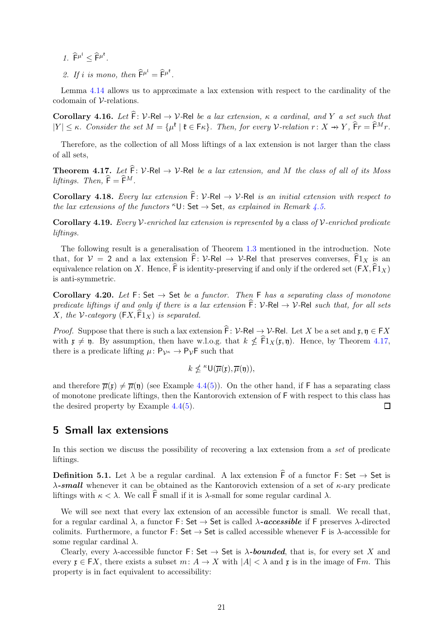- 1.  $\widehat{F}^{\mu^{\mathfrak{l}}} \leq \widehat{F}^{\mu^{\mathfrak{k}}}.$
- 2. If i is mono, then  $\widehat{\mathsf{F}}^{\mu^{\mathfrak{l}}} = \widehat{\mathsf{F}}^{\mu^{\mathfrak{k}}}.$

Lemma [4.14](#page-19-2) allows us to approximate a lax extension with respect to the cardinality of the codomain of V-relations.

Corollary 4.16. Let  $\hat{\mathsf{F}}: \mathcal{V}\text{-}\mathsf{Rel} \to \mathcal{V}\text{-}\mathsf{Rel}$  be a lax extension,  $\kappa$  a cardinal, and Y a set such that  $|Y| \leq \kappa$ . Consider the set  $M = {\mu^{\mathfrak{k}}} \mid {\mathfrak{k}} \in {\mathsf{F}} \kappa$ . Then, for every V-relation  $r: X \to Y$ ,  $\widehat{F}r = \widehat{F}^Mr$ .

Therefore, as the collection of all Moss liftings of a lax extension is not larger than the class of all sets,

<span id="page-20-3"></span>**Theorem 4.17.** Let  $\widehat{F}$ : V-Rel  $\rightarrow$  V-Rel be a lax extension, and M the class of all of its Moss liftings. Then,  $\widehat{F} = \widehat{F}^M$ .

<span id="page-20-1"></span>Corollary 4.18. Every lax extension  $\hat{F}$ : V-Rel  $\rightarrow$  V-Rel is an initial extension with respect to the lax extensions of the functors  ${}^{\kappa}U$ : Set  $\rightarrow$  Set, as explained in Remark [4.5.](#page-17-1)

**Corollary 4.19.** Every V-enriched lax extension is represented by a class of V-enriched predicate liftings.

The following result is a generalisation of Theorem [1.3](#page-1-1) mentioned in the introduction. Note that, for  $V = 2$  and a lax extension  $\hat{F} \colon V$ -Rel  $\to V$ -Rel that preserves converses,  $\hat{F}1_X$  is an equivalence relation on X. Hence,  $\hat{\mathsf{F}}$  is identity-preserving if and only if the ordered set  $(\mathsf{F} X, \hat{\mathsf{F}} 1_X)$ is anti-symmetric.

<span id="page-20-2"></span>Corollary 4.20. Let  $F: Set \rightarrow Set$  be a functor. Then F has a separating class of monotone predicate liftings if and only if there is a lax extension  $\hat{F}: V\text{-}Rel \rightarrow V\text{-}Rel$  such that, for all sets X, the V-category  $(FX, \overline{F1}_X)$  is separated.

*Proof.* Suppose that there is such a lax extension  $\hat{F}: \mathcal{V}\text{-}Rel \to \mathcal{V}\text{-}Rel$ . Let X be a set and  $\mathfrak{x}, \mathfrak{y} \in FX$ with  $\mathfrak{x} \neq \mathfrak{y}$ . By assumption, then have w.l.o.g. that  $k \nleq \mathrm{Fl}_X(\mathfrak{x}, \mathfrak{y})$ . Hence, by Theorem [4.17,](#page-20-3) there is a predicate lifting  $\mu: \mathsf{P}_{\mathcal{V}^{\kappa}} \to \mathsf{P}_{\mathcal{V}}\mathsf{F}$  such that

$$
k \nleq \kappa \mathsf{U}(\overline{\mu}(\mathfrak{x}), \overline{\mu}(\mathfrak{y})),
$$

and therefore  $\overline{\mu}(\mathfrak{x}) \neq \overline{\mu}(\mathfrak{y})$  (see Example [4.4](#page-15-0)[\(5\)](#page-16-2)). On the other hand, if F has a separating class of monotone predicate liftings, then the Kantorovich extension of F with respect to this class has the desired property by Example  $4.4(5)$  $4.4(5)$ . □

## <span id="page-20-0"></span>5 Small lax extensions

In this section we discuss the possibility of recovering a lax extension from a set of predicate liftings.

**Definition 5.1.** Let  $\lambda$  be a regular cardinal. A lax extension  $\hat{F}$  of a functor F: Set  $\rightarrow$  Set is  $\lambda$ -small whenever it can be obtained as the Kantorovich extension of a set of  $\kappa$ -ary predicate liftings with  $κ < λ$ . We call  $\widehat{F}$  small if it is  $λ$ -small for some regular cardinal  $λ$ .

We will see next that every lax extension of an accessible functor is small. We recall that, for a regular cardinal  $\lambda$ , a functor F: Set  $\rightarrow$  Set is called  $\lambda$ -accessible if F preserves  $\lambda$ -directed colimits. Furthermore, a functor F: Set  $\rightarrow$  Set is called accessible whenever F is  $\lambda$ -accessible for some regular cardinal  $\lambda$ .

Clearly, every  $\lambda$ -accessible functor F: Set  $\rightarrow$  Set is  $\lambda$ -bounded, that is, for every set X and every  $\mathfrak{x} \in FX$ , there exists a subset  $m: A \to X$  with  $|A| < \lambda$  and  $\mathfrak{x}$  is in the image of Fm. This property is in fact equivalent to accessibility: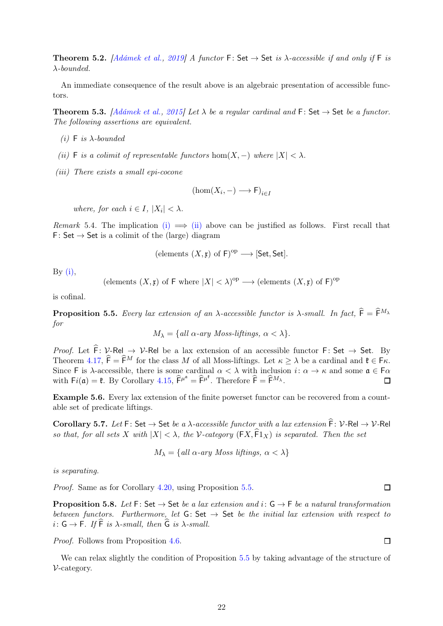**Theorem 5.2.** [\[Adámek et al.](#page-23-9), [2019\]](#page-23-9) A functor F: Set  $\rightarrow$  Set is  $\lambda$ -accessible if and only if F is λ-bounded.

An immediate consequence of the result above is an algebraic presentation of accessible functors.

<span id="page-21-1"></span><span id="page-21-0"></span>**Theorem 5.3.** [\[Adámek et al.](#page-23-10), [2015](#page-23-10)] Let  $\lambda$  be a regular cardinal and F: Set  $\rightarrow$  Set be a functor. The following assertions are equivalent.

- <span id="page-21-2"></span>(i) F is  $\lambda$ -bounded
- (ii) F is a colimit of representable functors hom $(X, -)$  where  $|X| < \lambda$ .
- (iii) There exists a small epi-cocone

$$
(\hom(X_i,-) \longrightarrow \mathsf{F})_{i \in I}
$$

where, for each  $i \in I$ ,  $|X_i| < \lambda$ .

Remark 5.4. The implication [\(i\)](#page-21-1)  $\implies$  [\(ii\)](#page-21-2) above can be justified as follows. First recall that F: Set  $\rightarrow$  Set is a colimit of the (large) diagram

(elements 
$$
(X, \mathfrak{x})
$$
 of  $\mathsf{F})^{op} \longrightarrow$  [Set, Set].

By  $(i)$ ,

(elements  $(X, \mathfrak{x})$  of F where  $|X| < \lambda$ )<sup>op</sup>  $\longrightarrow$  (elements  $(X, \mathfrak{x})$  of F)<sup>op</sup>

is cofinal.

<span id="page-21-3"></span>**Proposition 5.5.** Every lax extension of an  $\lambda$ -accessible functor is  $\lambda$ -small. In fact,  $\hat{\mathsf{F}} = \hat{\mathsf{F}}^{M_{\lambda}}$ for

$$
M_{\lambda} = \{ \text{all } \alpha\text{-ary Moss-liftings, } \alpha < \lambda \}.
$$

*Proof.* Let  $\hat{F}: \mathcal{V}\text{-Rel} \rightarrow \mathcal{V}\text{-Rel}$  be a lax extension of an accessible functor  $F: Set \rightarrow Set$ . By Theorem [4.17,](#page-20-3)  $\hat{\mathsf{F}} = \hat{\mathsf{F}}^M$  for the class M of all Moss-liftings. Let  $\kappa \geq \lambda$  be a cardinal and  $\mathfrak{k} \in \mathsf{F}\kappa$ . Since F is  $\lambda$ -accessible, there is some cardinal  $\alpha < \lambda$  with inclusion  $i: \alpha \to \kappa$  and some  $\mathfrak{a} \in \mathsf{F}\alpha$ with  $Fi(\mathfrak{a}) = \mathfrak{k}$ . By Corollary [4.15,](#page-19-3)  $\widehat{F}^{\mu^{\mathfrak{a}}} = \widehat{F}^{\mu^{\mathfrak{k}}}$ . Therefore  $\widehat{F} = \widehat{F}^{M_{\lambda}}$ .  $\Box$ 

Example 5.6. Every lax extension of the finite powerset functor can be recovered from a countable set of predicate liftings.

Corollary 5.7. Let F: Set  $\rightarrow$  Set be a  $\lambda$ -accessible functor with a lax extension  $\hat{F}$ :  $V$ -Rel  $\rightarrow$   $V$ -Rel so that, for all sets X with  $|X| < \lambda$ , the V-category  $(\textsf{F}X, \textsf{F}1_X)$  is separated. Then the set

$$
M_{\lambda} = \{ \text{all } \alpha \text{-ary Moss liftings}, \alpha < \lambda \}
$$

is separating.

Proof. Same as for Corollary [4.20,](#page-20-2) using Proposition [5.5.](#page-21-3)

**Proposition 5.8.** Let F: Set  $\rightarrow$  Set be a lax extension and i:  $G \rightarrow F$  be a natural transformation between functors. Furthermore, let  $G: Set \rightarrow Set$  be the initial lax extension with respect to i:  $G \rightarrow F$ . If  $\widehat{F}$  is  $\lambda$ -small, then  $\widehat{G}$  is  $\lambda$ -small.

Proof. Follows from Proposition [4.6.](#page-17-0)

We can relax slightly the condition of Proposition [5.5](#page-21-3) by taking advantage of the structure of V-category.

 $\Box$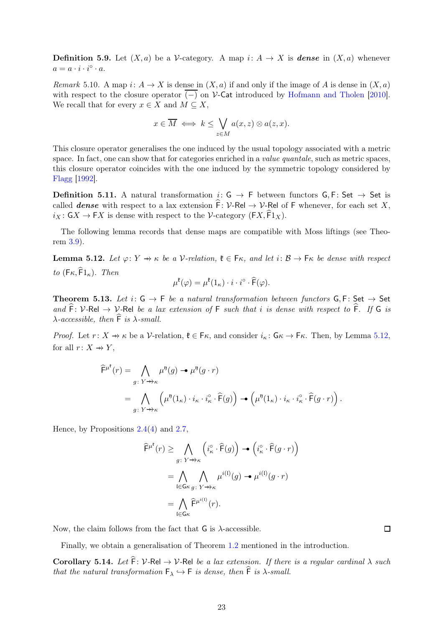**Definition 5.9.** Let  $(X, a)$  be a V-category. A map i:  $A \rightarrow X$  is **dense** in  $(X, a)$  whenever  $a = a \cdot i \cdot i^{\circ} \cdot a.$ 

Remark 5.10. A map  $i: A \to X$  is dense in  $(X, a)$  if and only if the image of A is dense in  $(X, a)$ with respect to the closure operator  $\overline{(-)}$  on V-Cat introduced by [Hofmann and Tholen](#page-23-11) [\[2010](#page-23-11)]. We recall that for every  $x \in X$  and  $M \subseteq X$ ,

$$
x \in \overline{M} \iff k \leq \bigvee_{z \in M} a(x, z) \otimes a(z, x).
$$

This closure operator generalises the one induced by the usual topology associated with a metric space. In fact, one can show that for categories enriched in a *value quantale*, such as metric spaces, this closure operator coincides with the one induced by the symmetric topology considered by [Flagg](#page-23-12) [\[1992](#page-23-12)].

**Definition 5.11.** A natural transformation  $i: G \rightarrow F$  between functors  $G, F: Set \rightarrow Set$  is called **dense** with respect to a lax extension  $\hat{F}: \mathcal{V}\text{-Rel} \to \mathcal{V}\text{-Rel}$  of F whenever, for each set X,  $i_X: G X \to FX$  is dense with respect to the V-category ( $FX, \widehat{F}1_X$ ).

The following lemma records that dense maps are compatible with Moss liftings (see Theorem [3.9\)](#page-12-1).

<span id="page-22-1"></span>**Lemma 5.12.** Let  $\varphi: Y \to \kappa$  be a V-relation,  $\mathfrak{k} \in \mathsf{F}_{\kappa}$ , and let  $i: \mathcal{B} \to \mathsf{F}_{\kappa}$  be dense with respect to  $(F_{\kappa}, \widehat{F}_{1_{\kappa}})$ . Then

$$
\mu^{\mathfrak{k}}(\varphi) = \mu^{\mathfrak{k}}(1_{\kappa}) \cdot i \cdot i^{\circ} \cdot \widehat{\mathsf{F}}(\varphi).
$$

Theorem 5.13. Let  $i: G \rightarrow F$  be a natural transformation between functors  $G, F: Set \rightarrow Set$ and  $\widehat{F}: \mathcal{V}\text{-}\mathsf{Rel} \to \mathcal{V}\text{-}\mathsf{Rel}$  be a lax extension of F such that i is dense with respect to  $\widehat{F}$ . If G is  $\lambda$ -accessible, then  $\widehat{F}$  is  $\lambda$ -small.

*Proof.* Let  $r: X \to \kappa$  be a V-relation,  $\mathfrak{k} \in \mathsf{F}\kappa$ , and consider  $i_{\kappa}: \mathsf{G}\kappa \to \mathsf{F}\kappa$ . Then, by Lemma [5.12,](#page-22-1) for all  $r: X \rightarrow Y$ .

$$
\widehat{F}^{\mu^{\mathfrak{k}}}(r) = \bigwedge_{g \colon Y \to \kappa} \mu^{\mathfrak{y}}(g) \to \mu^{\mathfrak{y}}(g \cdot r)
$$
  
= 
$$
\bigwedge_{g \colon Y \to \kappa} \left( \mu^{\mathfrak{y}}(1_{\kappa}) \cdot i_{\kappa} \cdot i_{\kappa}^{\circ} \cdot \widehat{F}(g) \right) \to \left( \mu^{\mathfrak{y}}(1_{\kappa}) \cdot i_{\kappa} \cdot i_{\kappa}^{\circ} \cdot \widehat{F}(g \cdot r) \right).
$$

Hence, by Propositions  $2.4(4)$  $2.4(4)$  and  $2.7$ ,

$$
\widehat{\mathsf{F}}^{\mu^{\mathfrak{k}}}(r) \geq \bigwedge_{g:\ Y \to \kappa} \left( i_{\kappa}^{\circ} \cdot \widehat{\mathsf{F}}(g) \right) \twoheadrightarrow \left( i_{\kappa}^{\circ} \cdot \widehat{\mathsf{F}}(g \cdot r) \right)
$$
\n
$$
= \bigwedge_{\mathfrak{l} \in \mathsf{G}\kappa} \bigwedge_{g:\ Y \to \kappa} \mu^{i(\mathfrak{l})}(g) \twoheadrightarrow \mu^{i(\mathfrak{l})}(g \cdot r)
$$
\n
$$
= \bigwedge_{\mathfrak{l} \in \mathsf{G}\kappa} \widehat{\mathsf{F}}^{\mu^{i(\mathfrak{l})}}(r).
$$

Now, the claim follows from the fact that  $G$  is  $\lambda$ -accessible.

Finally, we obtain a generalisation of Theorem [1.2](#page-1-0) mentioned in the introduction.

<span id="page-22-0"></span>Corollary 5.14. Let  $\hat{F}$ : V-Rel  $\rightarrow$  V-Rel be a lax extension. If there is a regular cardinal  $\lambda$  such that the natural transformation  $F_{\lambda} \hookrightarrow F$  is dense, then  $\widehat{F}$  is  $\lambda$ -small.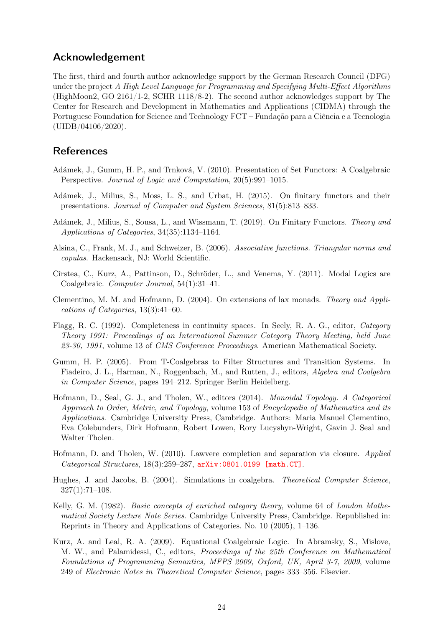# Acknowledgement

The first, third and fourth author acknowledge support by the German Research Council (DFG) under the project A High Level Language for Programming and Specifying Multi-Effect Algorithms (HighMoon2, GO 2161/1-2, SCHR 1118/8-2). The second author acknowledges support by The Center for Research and Development in Mathematics and Applications (CIDMA) through the Portuguese Foundation for Science and Technology FCT – Fundação para a Ciência e a Tecnologia (UIDB/04106/2020).

## References

- <span id="page-23-7"></span>Adámek, J., Gumm, H. P., and Trnková, V. (2010). Presentation of Set Functors: A Coalgebraic Perspective. Journal of Logic and Computation, 20(5):991–1015.
- <span id="page-23-10"></span>Adámek, J., Milius, S., Moss, L. S., and Urbat, H. (2015). On finitary functors and their presentations. Journal of Computer and System Sciences, 81(5):813–833.
- <span id="page-23-9"></span>Adámek, J., Milius, S., Sousa, L., and Wissmann, T. (2019). On Finitary Functors. Theory and Applications of Categories, 34(35):1134–1164.
- <span id="page-23-4"></span>Alsina, C., Frank, M. J., and Schweizer, B. (2006). Associative functions. Triangular norms and copulas. Hackensack, NJ: World Scientific.
- <span id="page-23-2"></span>Cîrstea, C., Kurz, A., Pattinson, D., Schröder, L., and Venema, Y. (2011). Modal Logics are Coalgebraic. Computer Journal, 54(1):31–41.
- <span id="page-23-6"></span>Clementino, M. M. and Hofmann, D. (2004). On extensions of lax monads. Theory and Applications of Categories, 13(3):41–60.
- <span id="page-23-12"></span>Flagg, R. C. (1992). Completeness in continuity spaces. In Seely, R. A. G., editor, Category Theory 1991: Proceedings of an International Summer Category Theory Meeting, held June 23-30, 1991, volume 13 of *CMS Conference Proceedings*. American Mathematical Society.
- <span id="page-23-8"></span>Gumm, H. P. (2005). From T-Coalgebras to Filter Structures and Transition Systems. In Fiadeiro, J. L., Harman, N., Roggenbach, M., and Rutten, J., editors, Algebra and Coalgebra in Computer Science, pages 194–212. Springer Berlin Heidelberg.
- <span id="page-23-0"></span>Hofmann, D., Seal, G. J., and Tholen, W., editors (2014). Monoidal Topology. A Categorical Approach to Order, Metric, and Topology, volume 153 of Encyclopedia of Mathematics and its Applications. Cambridge University Press, Cambridge. Authors: Maria Manuel Clementino, Eva Colebunders, Dirk Hofmann, Robert Lowen, Rory Lucyshyn-Wright, Gavin J. Seal and Walter Tholen.
- <span id="page-23-11"></span>Hofmann, D. and Tholen, W. (2010). Lawvere completion and separation via closure. Applied Categorical Structures,  $18(3):259-287$ ,  $arXiv:0801.0199$  [math.CT].
- <span id="page-23-1"></span>Hughes, J. and Jacobs, B. (2004). Simulations in coalgebra. *Theoretical Computer Science*,  $327(1):71–108.$
- <span id="page-23-5"></span>Kelly, G. M. (1982). *Basic concepts of enriched category theory*, volume 64 of *London Mathe*matical Society Lecture Note Series. Cambridge University Press, Cambridge. Republished in: Reprints in Theory and Applications of Categories. No. 10 (2005), 1–136.
- <span id="page-23-3"></span>Kurz, A. and Leal, R. A. (2009). Equational Coalgebraic Logic. In Abramsky, S., Mislove, M. W., and Palamidessi, C., editors, Proceedings of the 25th Conference on Mathematical Foundations of Programming Semantics, MFPS 2009, Oxford, UK, April 3-7, 2009, volume 249 of Electronic Notes in Theoretical Computer Science, pages 333–356. Elsevier.